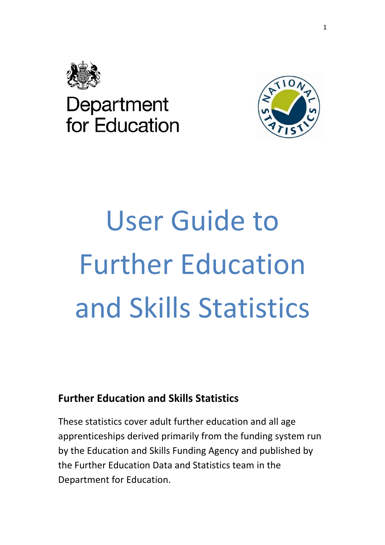

Department for Education



# User Guide to Further Education and Skills Statistics

# **Further Education and Skills Statistics**

These statistics cover adult further education and all age apprenticeships derived primarily from the funding system run by the Education and Skills Funding Agency and published by the Further Education Data and Statistics team in the Department for Education.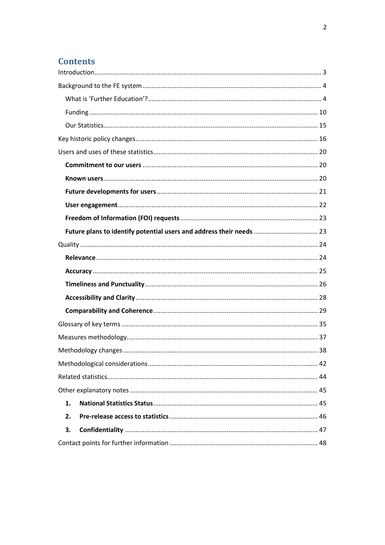# **Contents**

|    | Future plans to identify potential users and address their needs  23 |  |
|----|----------------------------------------------------------------------|--|
|    |                                                                      |  |
|    |                                                                      |  |
|    |                                                                      |  |
|    |                                                                      |  |
|    |                                                                      |  |
|    |                                                                      |  |
|    |                                                                      |  |
|    |                                                                      |  |
|    |                                                                      |  |
|    |                                                                      |  |
|    |                                                                      |  |
|    |                                                                      |  |
| 1. |                                                                      |  |
| 2. |                                                                      |  |
| 3. |                                                                      |  |
|    |                                                                      |  |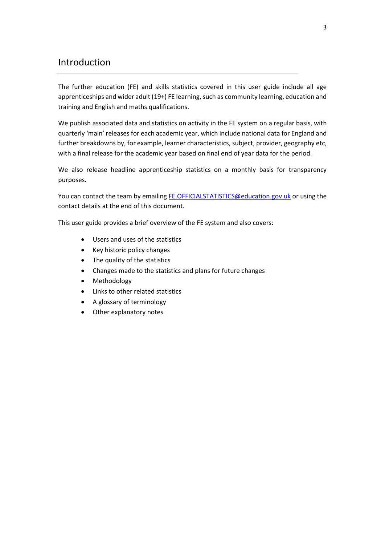# <span id="page-2-0"></span>Introduction

The further education (FE) and skills statistics covered in this user guide include all age apprenticeships and wider adult (19+) FE learning, such as community learning, education and training and English and maths qualifications.

We publish associated data and statistics on activity in the FE system on a regular basis, with quarterly 'main' releases for each academic year, which include national data for England and further breakdowns by, for example, learner characteristics, subject, provider, geography etc, with a final release for the academic year based on final end of year data for the period.

We also release headline apprenticeship statistics on a monthly basis for transparency purposes.

You can contact the team by emailin[g FE.OFFICIALSTATISTICS@education.gov.uk](mailto:FE.OFFICIALSTATISTICS@education.gov.uk) or using the contact details at the end of this document.

This user guide provides a brief overview of the FE system and also covers:

- Users and uses of the statistics
- Key historic policy changes
- The quality of the statistics
- Changes made to the statistics and plans for future changes
- Methodology
- Links to other related statistics
- A glossary of terminology
- Other explanatory notes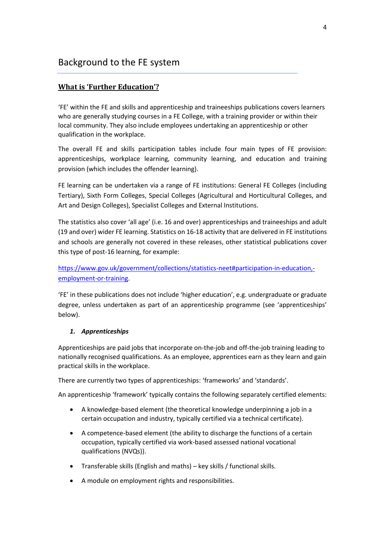# <span id="page-3-0"></span>Background to the FE system

# <span id="page-3-1"></span>**What is 'Further Education'?**

'FE' within the FE and skills and apprenticeship and traineeships publications covers learners who are generally studying courses in a FE College, with a training provider or within their local community. They also include employees undertaking an apprenticeship or other qualification in the workplace.

The overall FE and skills participation tables include four main types of FE provision: apprenticeships, workplace learning, community learning, and education and training provision (which includes the offender learning).

FE learning can be undertaken via a range of FE institutions: General FE Colleges (including Tertiary), Sixth Form Colleges, Special Colleges (Agricultural and Horticultural Colleges, and Art and Design Colleges), Specialist Colleges and External Institutions.

The statistics also cover 'all age' (i.e. 16 and over) apprenticeships and traineeships and adult (19 and over) wider FE learning. Statistics on 16-18 activity that are delivered in FE institutions and schools are generally not covered in these releases, other statistical publications cover this type of post-16 learning, for example:

[https://www.gov.uk/government/collections/statistics-neet#participation-in-education,](https://www.gov.uk/government/collections/statistics-neet#participation-in-education,-employment-or-training) [employment-or-training.](https://www.gov.uk/government/collections/statistics-neet#participation-in-education,-employment-or-training)

'FE' in these publications does not include 'higher education', e.g. undergraduate or graduate degree, unless undertaken as part of an apprenticeship programme (see 'apprenticeships' below).

## *1. Apprenticeships*

Apprenticeships are paid jobs that incorporate on-the-job and off-the-job training leading to nationally recognised qualifications. As an employee, apprentices earn as they learn and gain practical skills in the workplace.

There are currently two types of apprenticeships: 'frameworks' and 'standards'.

An apprenticeship 'framework' typically contains the following separately certified elements:

- A knowledge-based element (the theoretical knowledge underpinning a job in a certain occupation and industry, typically certified via a technical certificate).
- A competence-based element (the ability to discharge the functions of a certain occupation, typically certified via work-based assessed national vocational qualifications (NVQs)).
- Transferable skills (English and maths) key skills / functional skills.
- A module on employment rights and responsibilities.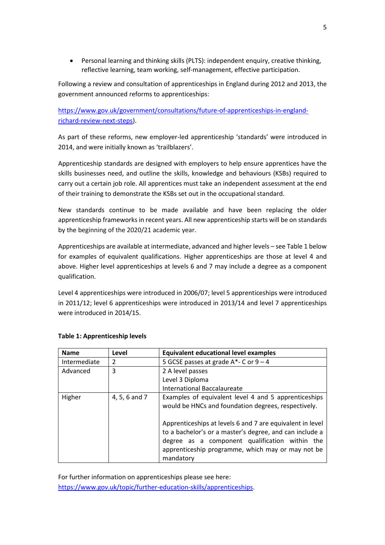Personal learning and thinking skills (PLTS): independent enquiry, creative thinking, reflective learning, team working, self-management, effective participation.

Following a review and consultation of apprenticeships in England during 2012 and 2013, the government announced reforms to apprenticeships:

[https://www.gov.uk/government/consultations/future-of-apprenticeships-in-england](https://www.gov.uk/government/consultations/future-of-apprenticeships-in-england-richard-review-next-steps)[richard-review-next-steps\)](https://www.gov.uk/government/consultations/future-of-apprenticeships-in-england-richard-review-next-steps).

As part of these reforms, new employer-led apprenticeship 'standards' were introduced in 2014, and were initially known as 'trailblazers'.

Apprenticeship standards are designed with employers to help ensure apprentices have the skills businesses need, and outline the skills, knowledge and behaviours (KSBs) required to carry out a certain job role. All apprentices must take an independent assessment at the end of their training to demonstrate the KSBs set out in the occupational standard.

New standards continue to be made available and have been replacing the older apprenticeship frameworks in recent years. All new apprenticeship starts will be on standards by the beginning of the 2020/21 academic year.

Apprenticeships are available at intermediate, advanced and higher levels – see Table 1 below for examples of equivalent qualifications. Higher apprenticeships are those at level 4 and above. Higher level apprenticeships at levels 6 and 7 may include a degree as a component qualification.

Level 4 apprenticeships were introduced in 2006/07; level 5 apprenticeships were introduced in 2011/12; level 6 apprenticeships were introduced in 2013/14 and level 7 apprenticeships were introduced in 2014/15.

| <b>Name</b>  | Level                                                                                                                        | <b>Equivalent educational level examples</b>                                                                                                                                                                                             |  |
|--------------|------------------------------------------------------------------------------------------------------------------------------|------------------------------------------------------------------------------------------------------------------------------------------------------------------------------------------------------------------------------------------|--|
| Intermediate | $\mathfrak{p}$                                                                                                               | 5 GCSE passes at grade $A^*$ - C or 9 – 4                                                                                                                                                                                                |  |
| Advanced     | 3                                                                                                                            | 2 A level passes                                                                                                                                                                                                                         |  |
|              |                                                                                                                              | Level 3 Diploma                                                                                                                                                                                                                          |  |
|              |                                                                                                                              | <b>International Baccalaureate</b>                                                                                                                                                                                                       |  |
| Higher       | Examples of equivalent level 4 and 5 apprenticeships<br>4, 5, 6 and 7<br>would be HNCs and foundation degrees, respectively. |                                                                                                                                                                                                                                          |  |
|              |                                                                                                                              | Apprenticeships at levels 6 and 7 are equivalent in level<br>to a bachelor's or a master's degree, and can include a<br>degree as a component qualification within the<br>apprenticeship programme, which may or may not be<br>mandatory |  |

## **Table 1: Apprenticeship levels**

For further information on apprenticeships please see here:

[https://www.gov.uk/topic/further-education-skills/apprenticeships.](https://www.gov.uk/topic/further-education-skills/apprenticeships)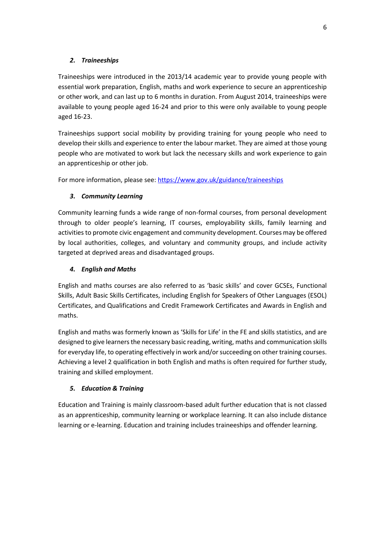# *2. Traineeships*

Traineeships were introduced in the 2013/14 academic year to provide young people with essential work preparation, English, maths and work experience to secure an apprenticeship or other work, and can last up to 6 months in duration. From August 2014, traineeships were available to young people aged 16-24 and prior to this were only available to young people aged 16-23.

Traineeships support social mobility by providing training for young people who need to develop their skills and experience to enter the labour market. They are aimed at those young people who are motivated to work but lack the necessary skills and work experience to gain an apprenticeship or other job.

For more information, please see:<https://www.gov.uk/guidance/traineeships>

# *3. Community Learning*

Community learning funds a wide range of non-formal courses, from personal development through to older people's learning, IT courses, employability skills, family learning and activities to promote civic engagement and community development. Courses may be offered by local authorities, colleges, and voluntary and community groups, and include activity targeted at deprived areas and disadvantaged groups.

# *4. English and Maths*

English and maths courses are also referred to as 'basic skills' and cover GCSEs, Functional Skills, Adult Basic Skills Certificates, including English for Speakers of Other Languages (ESOL) Certificates, and Qualifications and Credit Framework Certificates and Awards in English and maths.

English and maths was formerly known as 'Skills for Life' in the FE and skills statistics, and are designed to give learners the necessary basic reading, writing, maths and communication skills for everyday life, to operating effectively in work and/or succeeding on other training courses. Achieving a level 2 qualification in both English and maths is often required for further study, training and skilled employment.

# *5. Education & Training*

Education and Training is mainly classroom-based adult further education that is not classed as an apprenticeship, community learning or workplace learning. It can also include distance learning or e-learning. Education and training includes traineeships and offender learning.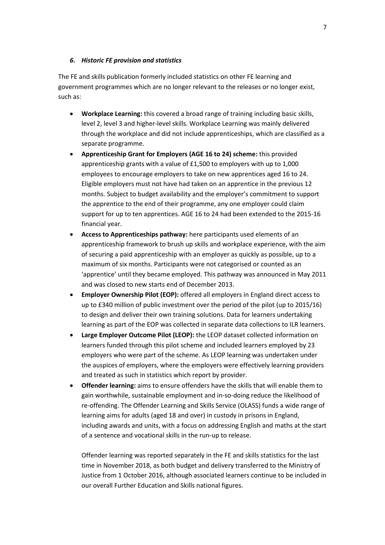#### *6. Historic FE provision and statistics*

The FE and skills publication formerly included statistics on other FE learning and government programmes which are no longer relevant to the releases or no longer exist, such as:

- **Workplace Learning:** this covered a broad range of training including basic skills, level 2, level 3 and higher-level skills. Workplace Learning was mainly delivered through the workplace and did not include apprenticeships, which are classified as a separate programme.
- **Apprenticeship Grant for Employers (AGE 16 to 24) scheme:** this provided apprenticeship grants with a value of £1,500 to employers with up to 1,000 employees to encourage employers to take on new apprentices aged 16 to 24. Eligible employers must not have had taken on an apprentice in the previous 12 months. Subject to budget availability and the employer's commitment to support the apprentice to the end of their programme, any one employer could claim support for up to ten apprentices. AGE 16 to 24 had been extended to the 2015-16 financial year.
- **Access to Apprenticeships pathway:** here participants used elements of an apprenticeship framework to brush up skills and workplace experience, with the aim of securing a paid apprenticeship with an employer as quickly as possible, up to a maximum of six months. Participants were not categorised or counted as an 'apprentice' until they became employed. This pathway was announced in May 2011 and was closed to new starts end of December 2013.
- **Employer Ownership Pilot (EOP):** offered all employers in England direct access to up to £340 million of public investment over the period of the pilot (up to 2015/16) to design and deliver their own training solutions. Data for learners undertaking learning as part of the EOP was collected in separate data collections to ILR learners.
- **Large Employer Outcome Pilot (LEOP):** the LEOP dataset collected information on learners funded through this pilot scheme and included learners employed by 23 employers who were part of the scheme. As LEOP learning was undertaken under the auspices of employers, where the employers were effectively learning providers and treated as such in statistics which report by provider.
- **Offender learning:** aims to ensure offenders have the skills that will enable them to gain worthwhile, sustainable employment and in-so-doing reduce the likelihood of re-offending. The Offender Learning and Skills Service (OLASS) funds a wide range of learning aims for adults (aged 18 and over) in custody in prisons in England, including awards and units, with a focus on addressing English and maths at the start of a sentence and vocational skills in the run-up to release.

Offender learning was reported separately in the FE and skills statistics for the last time in November 2018, as both budget and delivery transferred to the Ministry of Justice from 1 October 2016, although associated learners continue to be included in our overall Further Education and Skills national figures.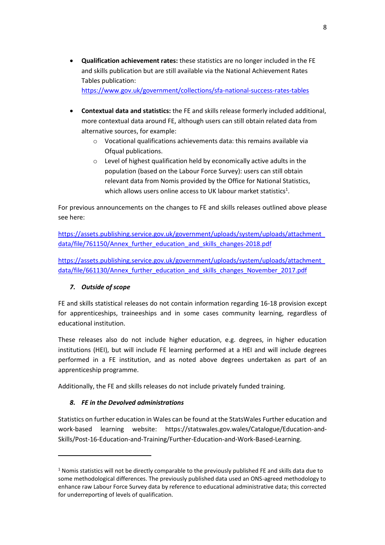• **Qualification achievement rates:** these statistics are no longer included in the FE and skills publication but are still available via the National Achievement Rates Tables publication: <https://www.gov.uk/government/collections/sfa-national-success-rates-tables>

• **Contextual data and statistics:** the FE and skills release formerly included additional, more contextual data around FE, although users can still obtain related data from alternative sources, for example:

- $\circ$  Vocational qualifications achievements data: this remains available via Ofqual publications.
- o Level of highest qualification held by economically active adults in the population (based on the Labour Force Survey): users can still obtain relevant data from Nomis provided by the Office for National Statistics, which allows users online access to UK labour market statistics<sup>1</sup>.

For previous announcements on the changes to FE and skills releases outlined above please see here:

[https://assets.publishing.service.gov.uk/government/uploads/system/uploads/attachment\\_](https://assets.publishing.service.gov.uk/government/uploads/system/uploads/attachment_data/file/761150/Annex_further_education_and_skills_changes-2018.pdf) [data/file/761150/Annex\\_further\\_education\\_and\\_skills\\_changes-2018.pdf](https://assets.publishing.service.gov.uk/government/uploads/system/uploads/attachment_data/file/761150/Annex_further_education_and_skills_changes-2018.pdf)

[https://assets.publishing.service.gov.uk/government/uploads/system/uploads/attachment\\_](https://assets.publishing.service.gov.uk/government/uploads/system/uploads/attachment_data/file/661130/Annex_further_education_and_skills_changes_November_2017.pdf) [data/file/661130/Annex\\_further\\_education\\_and\\_skills\\_changes\\_November\\_2017.pdf](https://assets.publishing.service.gov.uk/government/uploads/system/uploads/attachment_data/file/661130/Annex_further_education_and_skills_changes_November_2017.pdf)

# *7. Outside of scope*

FE and skills statistical releases do not contain information regarding 16-18 provision except for apprenticeships, traineeships and in some cases community learning, regardless of educational institution.

These releases also do not include higher education, e.g. degrees, in higher education institutions (HEI), but will include FE learning performed at a HEI and will include degrees performed in a FE institution, and as noted above degrees undertaken as part of an apprenticeship programme.

Additionally, the FE and skills releases do not include privately funded training.

# *8. FE in the Devolved administrations*

Statistics on further education in Wales can be found at the StatsWales Further education and work-based learning website: https://statswales.gov.wales/Catalogue/Education-and-Skills/Post-16-Education-and-Training/Further-Education-and-Work-Based-Learning.

 $1$  Nomis statistics will not be directly comparable to the previously published FE and skills data due to some methodological differences. The previously published data used an ONS-agreed methodology to enhance raw Labour Force Survey data by reference to educational administrative data; this corrected for underreporting of levels of qualification.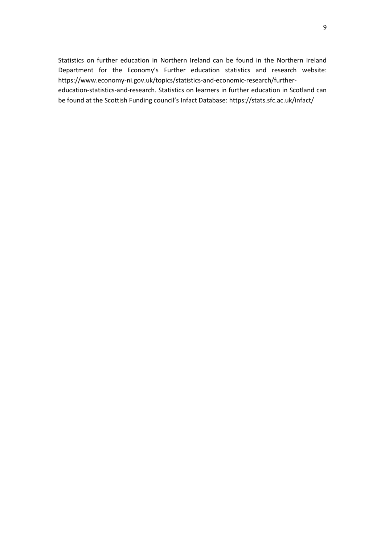Statistics on further education in Northern Ireland can be found in the Northern Ireland Department for the Economy's Further education statistics and research website: https://www.economy-ni.gov.uk/topics/statistics-and-economic-research/furthereducation-statistics-and-research. Statistics on learners in further education in Scotland can be found at the Scottish Funding council's Infact Database: https://stats.sfc.ac.uk/infact/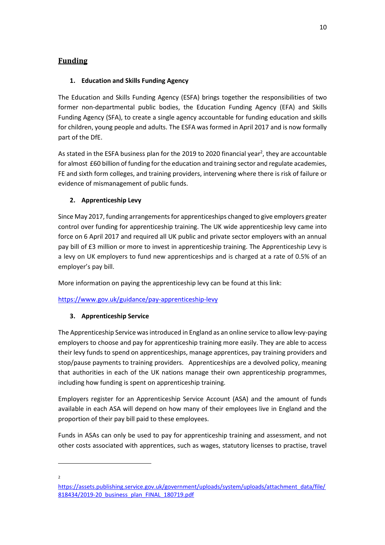# <span id="page-9-0"></span>**Funding**

# **1. Education and Skills Funding Agency**

The Education and Skills Funding Agency (ESFA) brings together the responsibilities of two former non-departmental public bodies, the Education Funding Agency (EFA) and Skills Funding Agency (SFA), to create a single agency accountable for funding education and skills for children, young people and adults. The ESFA was formed in April 2017 and is now formally part of the DfE.

As stated in the ESFA business plan for the 2019 to 2020 financial year<sup>2</sup>, they are accountable for almost £60 billion of funding for the education and training sector and regulate academies, FE and sixth form colleges, and training providers, intervening where there is risk of failure or evidence of mismanagement of public funds.

# **2. Apprenticeship Levy**

Since May 2017, funding arrangements for apprenticeships changed to give employers greater control over funding for apprenticeship training. The UK wide apprenticeship levy came into force on 6 April 2017 and required all UK public and private sector employers with an annual pay bill of £3 million or more to invest in apprenticeship training. The Apprenticeship Levy is a levy on UK employers to fund new apprenticeships and is charged at a rate of 0.5% of an employer's pay bill.

More information on paying the apprenticeship levy can be found at this link:

<https://www.gov.uk/guidance/pay-apprenticeship-levy>

# **3. Apprenticeship Service**

The Apprenticeship Service was introduced in England as an online service to allow levy-paying employers to choose and pay for apprenticeship training more easily. They are able to access their levy funds to spend on apprenticeships, manage apprentices, pay training providers and stop/pause payments to training providers. Apprenticeships are a devolved policy, meaning that authorities in each of the UK nations manage their own apprenticeship programmes, including how funding is spent on apprenticeship training.

Employers register for an Apprenticeship Service Account (ASA) and the amount of funds available in each ASA will depend on how many of their employees live in England and the proportion of their pay bill paid to these employees.

Funds in ASAs can only be used to pay for apprenticeship training and assessment, and not other costs associated with apprentices, such as wages, statutory licenses to practise, travel

 $\overline{2}$ 

[https://assets.publishing.service.gov.uk/government/uploads/system/uploads/attachment\\_data/file/](https://assets.publishing.service.gov.uk/government/uploads/system/uploads/attachment_data/file/818434/2019-20_business_plan_FINAL_180719.pdf) [818434/2019-20\\_business\\_plan\\_FINAL\\_180719.pdf](https://assets.publishing.service.gov.uk/government/uploads/system/uploads/attachment_data/file/818434/2019-20_business_plan_FINAL_180719.pdf)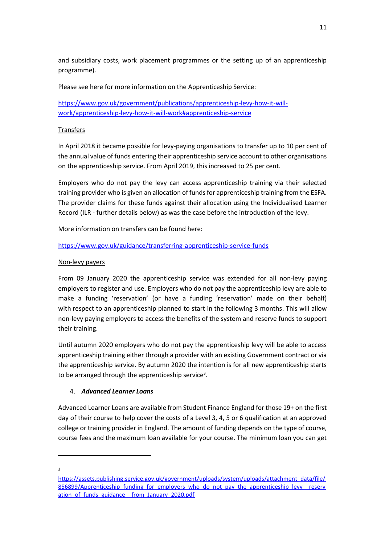and subsidiary costs, work placement programmes or the setting up of an apprenticeship programme).

Please see here for more information on the Apprenticeship Service:

[https://www.gov.uk/government/publications/apprenticeship-levy-how-it-will](https://www.gov.uk/government/publications/apprenticeship-levy-how-it-will-work/apprenticeship-levy-how-it-will-work#apprenticeship-service)[work/apprenticeship-levy-how-it-will-work#apprenticeship-service](https://www.gov.uk/government/publications/apprenticeship-levy-how-it-will-work/apprenticeship-levy-how-it-will-work#apprenticeship-service)

# Transfers

In April 2018 it became possible for levy-paying organisations to transfer up to 10 per cent of the annual value of funds entering their apprenticeship service account to other organisations on the apprenticeship service. From April 2019, this increased to 25 per cent.

Employers who do not pay the levy can access apprenticeship training via their selected training provider who is given an allocation of funds for apprenticeship training from the ESFA. The provider claims for these funds against their allocation using the Individualised Learner Record (ILR - further details below) as was the case before the introduction of the levy.

More information on transfers can be found here:

# <https://www.gov.uk/guidance/transferring-apprenticeship-service-funds>

# Non-levy payers

From 09 January 2020 the apprenticeship service was extended for all non-levy paying employers to register and use. Employers who do not pay the apprenticeship levy are able to make a funding 'reservation' (or have a funding 'reservation' made on their behalf) with respect to an apprenticeship planned to start in the following 3 months. This will allow non-levy paying employers to access the benefits of the system and reserve funds to support their training.

Until autumn 2020 employers who do not pay the apprenticeship levy will be able to access apprenticeship training either through a provider with an existing Government contract or via the apprenticeship service. By autumn 2020 the intention is for all new apprenticeship starts to be arranged through the apprenticeship service<sup>3</sup>.

# 4. *Advanced Learner Loans*

Advanced Learner Loans are available from Student Finance England for those 19+ on the first day of their course to help cover the costs of a Level 3, 4, 5 or 6 qualification at an approved college or training provider in England. The amount of funding depends on the type of course, course fees and the maximum loan available for your course. The minimum loan you can get

3

[https://assets.publishing.service.gov.uk/government/uploads/system/uploads/attachment\\_data/file/](https://assets.publishing.service.gov.uk/government/uploads/system/uploads/attachment_data/file/856899/Apprenticeship_funding_for_employers_who_do_not_pay_the_apprenticeship_levy__reservation_of_funds_guidance__from_January_2020.pdf) [856899/Apprenticeship\\_funding\\_for\\_employers\\_who\\_do\\_not\\_pay\\_the\\_apprenticeship\\_levy\\_\\_reserv](https://assets.publishing.service.gov.uk/government/uploads/system/uploads/attachment_data/file/856899/Apprenticeship_funding_for_employers_who_do_not_pay_the_apprenticeship_levy__reservation_of_funds_guidance__from_January_2020.pdf) ation of funds guidance from January 2020.pdf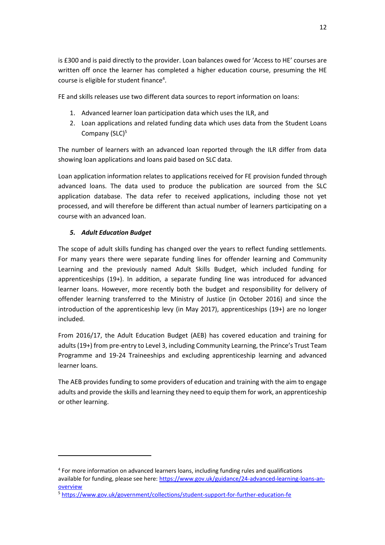is £300 and is paid directly to the provider. Loan balances owed for 'Access to HE' courses are written off once the learner has completed a higher education course, presuming the HE course is eligible for student finance<sup>4</sup>.

FE and skills releases use two different data sources to report information on loans:

- 1. Advanced learner loan participation data which uses the ILR, and
- 2. Loan applications and related funding data which uses data from the Student Loans Company (SLC)<sup>5</sup>

The number of learners with an advanced loan reported through the ILR differ from data showing loan applications and loans paid based on SLC data.

Loan application information relates to applications received for FE provision funded through advanced loans. The data used to produce the publication are sourced from the SLC application database. The data refer to received applications, including those not yet processed, and will therefore be different than actual number of learners participating on a course with an advanced loan.

# *5. Adult Education Budget*

The scope of adult skills funding has changed over the years to reflect funding settlements. For many years there were separate funding lines for offender learning and Community Learning and the previously named Adult Skills Budget, which included funding for apprenticeships (19+). In addition, a separate funding line was introduced for advanced learner loans. However, more recently both the budget and responsibility for delivery of offender learning transferred to the Ministry of Justice (in October 2016) and since the introduction of the apprenticeship levy (in May 2017), apprenticeships (19+) are no longer included.

From 2016/17, the Adult Education Budget (AEB) has covered education and training for adults (19+) from pre-entry to Level 3, including Community Learning, the Prince's Trust Team Programme and 19-24 Traineeships and excluding apprenticeship learning and advanced learner loans.

The AEB provides funding to some providers of education and training with the aim to engage adults and provide the skills and learning they need to equip them for work, an apprenticeship or other learning.

<sup>&</sup>lt;sup>4</sup> For more information on advanced learners loans, including funding rules and qualifications available for funding, please see here[: https://www.gov.uk/guidance/24-advanced-learning-loans-an](https://www.gov.uk/guidance/24-advanced-learning-loans-an-overview)[overview](https://www.gov.uk/guidance/24-advanced-learning-loans-an-overview)

<sup>5</sup> <https://www.gov.uk/government/collections/student-support-for-further-education-fe>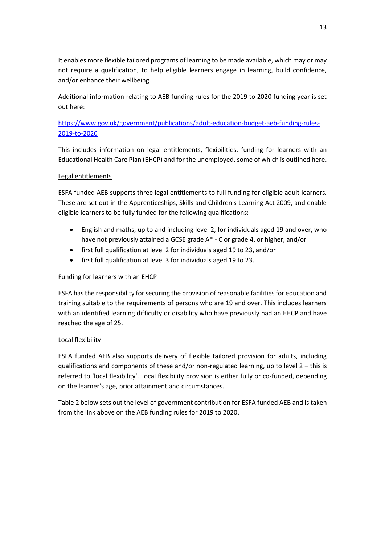It enables more flexible tailored programs of learning to be made available, which may or may not require a qualification, to help eligible learners engage in learning, build confidence, and/or enhance their wellbeing.

Additional information relating to AEB funding rules for the 2019 to 2020 funding year is set out here:

[https://www.gov.uk/government/publications/adult-education-budget-aeb-funding-rules-](https://www.gov.uk/government/publications/adult-education-budget-aeb-funding-rules-2019-to-2020)[2019-to-2020](https://www.gov.uk/government/publications/adult-education-budget-aeb-funding-rules-2019-to-2020)

This includes information on legal entitlements, flexibilities, funding for learners with an Educational Health Care Plan (EHCP) and for the unemployed, some of which is outlined here.

## Legal entitlements

ESFA funded AEB supports three legal entitlements to full funding for eligible adult learners. These are set out in the Apprenticeships, Skills and Children's Learning Act 2009, and enable eligible learners to be fully funded for the following qualifications:

- English and maths, up to and including level 2, for individuals aged 19 and over, who have not previously attained a GCSE grade A\* - C or grade 4, or higher, and/or
- first full qualification at level 2 for individuals aged 19 to 23, and/or
- first full qualification at level 3 for individuals aged 19 to 23.

## Funding for learners with an EHCP

ESFA has the responsibility for securing the provision of reasonable facilities for education and training suitable to the requirements of persons who are 19 and over. This includes learners with an identified learning difficulty or disability who have previously had an EHCP and have reached the age of 25.

## Local flexibility

ESFA funded AEB also supports delivery of flexible tailored provision for adults, including qualifications and components of these and/or non-regulated learning, up to level  $2 -$  this is referred to 'local flexibility'. Local flexibility provision is either fully or co-funded, depending on the learner's age, prior attainment and circumstances.

Table 2 below sets out the level of government contribution for ESFA funded AEB and is taken from the link above on the AEB funding rules for 2019 to 2020.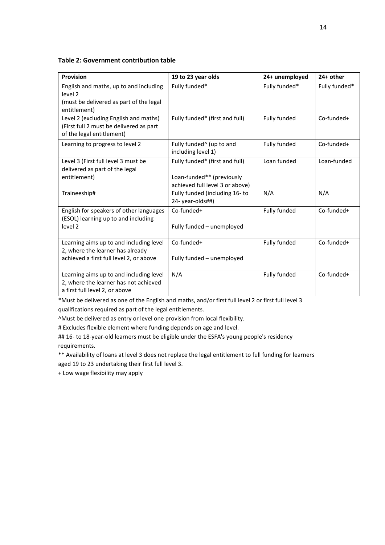#### **Table 2: Government contribution table**

| <b>Provision</b>                                                                                                       | 19 to 23 year olds                                                                             | 24+ unemployed | 24+ other     |
|------------------------------------------------------------------------------------------------------------------------|------------------------------------------------------------------------------------------------|----------------|---------------|
| English and maths, up to and including<br>level 2<br>(must be delivered as part of the legal<br>entitlement)           | Fully funded*                                                                                  | Fully funded*  | Fully funded* |
| Level 2 (excluding English and maths)<br>(First full 2 must be delivered as part<br>of the legal entitlement)          | Fully funded* (first and full)                                                                 | Fully funded   | Co-funded+    |
| Learning to progress to level 2                                                                                        | Fully funded <sup>^</sup> (up to and<br>including level 1)                                     | Fully funded   | Co-funded+    |
| Level 3 (First full level 3 must be<br>delivered as part of the legal<br>entitlement)                                  | Fully funded* (first and full)<br>Loan-funded** (previously<br>achieved full level 3 or above) | Loan funded    | Loan-funded   |
| Traineeship#                                                                                                           | Fully funded (including 16-to<br>24-year-olds##)                                               | N/A            | N/A           |
| English for speakers of other languages<br>(ESOL) learning up to and including<br>level <sub>2</sub>                   | Co-funded+<br>Fully funded - unemployed                                                        | Fully funded   | Co-funded+    |
| Learning aims up to and including level<br>2, where the learner has already<br>achieved a first full level 2, or above | Co-funded+<br>Fully funded - unemployed                                                        | Fully funded   | Co-funded+    |
| Learning aims up to and including level<br>2, where the learner has not achieved<br>a first full level 2, or above     | N/A                                                                                            | Fully funded   | Co-funded+    |

\*Must be delivered as one of the English and maths, and/or first full level 2 or first full level 3 qualifications required as part of the legal entitlements.

^Must be delivered as entry or level one provision from local flexibility.

# Excludes flexible element where funding depends on age and level.

## 16- to 18-year-old learners must be eligible under the ESFA's young people's residency requirements.

\*\* Availability of loans at level 3 does not replace the legal entitlement to full funding for learners aged 19 to 23 undertaking their first full level 3.

+ Low wage flexibility may apply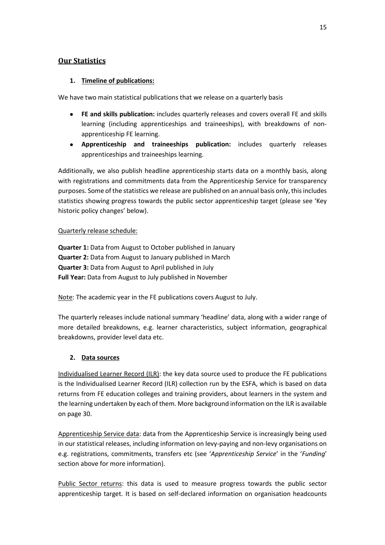# <span id="page-14-0"></span>**Our Statistics**

## **1. Timeline of publications:**

We have two main statistical publications that we release on a quarterly basis

- **FE and skills publication:** includes quarterly releases and covers overall FE and skills learning (including apprenticeships and traineeships), with breakdowns of nonapprenticeship FE learning.
- **Apprenticeship and traineeships publication:** includes quarterly releases apprenticeships and traineeships learning.

Additionally, we also publish headline apprenticeship starts data on a monthly basis, along with registrations and commitments data from the Apprenticeship Service for transparency purposes. Some of the statistics we release are published on an annual basis only, this includes statistics showing progress towards the public sector apprenticeship target (please see 'Key historic policy changes' below).

## Quarterly release schedule:

**Quarter 1:** Data from August to October published in January **Quarter 2:** Data from August to January published in March **Quarter 3:** Data from August to April published in July **Full Year:** Data from August to July published in November

Note: The academic year in the FE publications covers August to July.

The quarterly releases include national summary 'headline' data, along with a wider range of more detailed breakdowns, e.g. learner characteristics, subject information, geographical breakdowns, provider level data etc.

# **2. Data sources**

Individualised Learner Record (ILR): the key data source used to produce the FE publications is the Individualised Learner Record (ILR) collection run by the ESFA, which is based on data returns from FE education colleges and training providers, about learners in the system and the learning undertaken by each of them. More background information on the ILR is available on page 30.

Apprenticeship Service data: data from the Apprenticeship Service is increasingly being used in our statistical releases, including information on levy-paying and non-levy organisations on e.g. registrations, commitments, transfers etc (see '*Apprenticeship Service*' in the '*Funding*' section above for more information).

Public Sector returns: this data is used to measure progress towards the public sector apprenticeship target. It is based on self-declared information on organisation headcounts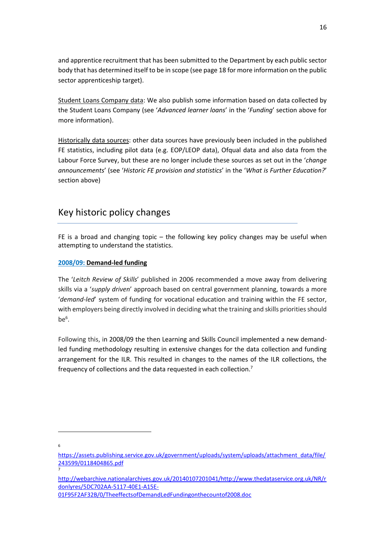and apprentice recruitment that has been submitted to the Department by each public sector body that has determined itself to be in scope (see page 18 for more information on the public sector apprenticeship target).

Student Loans Company data: We also publish some information based on data collected by the Student Loans Company (see '*Advanced learner loans*' in the '*Funding*' section above for more information).

Historically data sources: other data sources have previously been included in the published FE statistics, including pilot data (e.g. EOP/LEOP data), Ofqual data and also data from the Labour Force Survey, but these are no longer include these sources as set out in the '*change announcements*' (see '*Historic FE provision and statistics*' in the '*What is Further Education?*' section above)

# <span id="page-15-0"></span>Key historic policy changes

FE is a broad and changing topic – the following key policy changes may be useful when attempting to understand the statistics.

# **2008/09: Demand-led funding**

The '*Leitch Review of Skills*' published in 2006 recommended a move away from delivering skills via a '*supply driven*' approach based on central government planning, towards a more '*demand-led*' system of funding for vocational education and training within the FE sector, with employers being directly involved in deciding what the training and skills priorities should  $be^6$ .

Following this, in 2008/09 the then Learning and Skills Council implemented a new demandled funding methodology resulting in extensive changes for the data collection and funding arrangement for the ILR. This resulted in changes to the names of the ILR collections, the frequency of collections and the data requested in each collection.<sup>7</sup>

6

7

[https://assets.publishing.service.gov.uk/government/uploads/system/uploads/attachment\\_data/file/](https://assets.publishing.service.gov.uk/government/uploads/system/uploads/attachment_data/file/243599/0118404865.pdf) [243599/0118404865.pdf](https://assets.publishing.service.gov.uk/government/uploads/system/uploads/attachment_data/file/243599/0118404865.pdf)

[http://webarchive.nationalarchives.gov.uk/20140107201041/http://www.thedataservice.org.uk/NR/r](http://webarchive.nationalarchives.gov.uk/20140107201041/http:/www.thedataservice.org.uk/NR/rdonlyres/5DC702AA-5117-40E1-A15E-01F95F2AF32B/0/TheeffectsofDemandLedFundingonthecountof2008.doc) [donlyres/5DC702AA-5117-40E1-A15E-](http://webarchive.nationalarchives.gov.uk/20140107201041/http:/www.thedataservice.org.uk/NR/rdonlyres/5DC702AA-5117-40E1-A15E-01F95F2AF32B/0/TheeffectsofDemandLedFundingonthecountof2008.doc)

[<sup>01</sup>F95F2AF32B/0/TheeffectsofDemandLedFundingonthecountof2008.doc](http://webarchive.nationalarchives.gov.uk/20140107201041/http:/www.thedataservice.org.uk/NR/rdonlyres/5DC702AA-5117-40E1-A15E-01F95F2AF32B/0/TheeffectsofDemandLedFundingonthecountof2008.doc)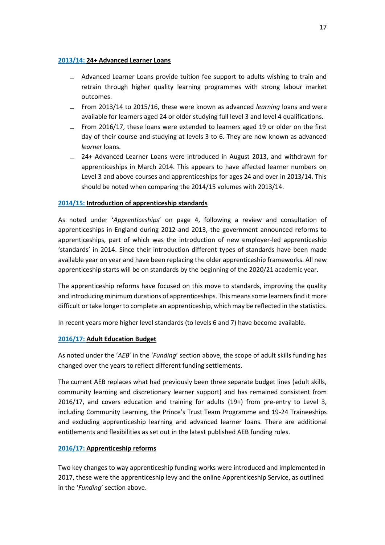#### **2013/14: 24+ Advanced Learner Loans**

- ̶ Advanced Learner Loans provide tuition fee support to adults wishing to train and retrain through higher quality learning programmes with strong labour market outcomes.
- ̶ From 2013/14 to 2015/16, these were known as advanced *learning* loans and were available for learners aged 24 or older studying full level 3 and level 4 qualifications.
- $-$  From 2016/17, these loans were extended to learners aged 19 or older on the first day of their course and studying at levels 3 to 6. They are now known as advanced *learner* loans.
- $-$  24+ Advanced Learner Loans were introduced in August 2013, and withdrawn for apprenticeships in March 2014. This appears to have affected learner numbers on Level 3 and above courses and apprenticeships for ages 24 and over in 2013/14. This should be noted when comparing the 2014/15 volumes with 2013/14.

## **2014/15: Introduction of apprenticeship standards**

As noted under '*Apprenticeships*' on page 4, following a review and consultation of apprenticeships in England during 2012 and 2013, the government announced reforms to apprenticeships, part of which was the introduction of new employer-led apprenticeship 'standards' in 2014. Since their introduction different types of standards have been made available year on year and have been replacing the older apprenticeship frameworks. All new apprenticeship starts will be on standards by the beginning of the 2020/21 academic year.

The apprenticeship reforms have focused on this move to standards, improving the quality and introducing minimum durations of apprenticeships. This means some learners find it more difficult or take longer to complete an apprenticeship, which may be reflected in the statistics.

In recent years more higher level standards (to levels 6 and 7) have become available.

## **2016/17: Adult Education Budget**

As noted under the '*AEB*' in the '*Funding*' section above, the scope of adult skills funding has changed over the years to reflect different funding settlements.

The current AEB replaces what had previously been three separate budget lines (adult skills, community learning and discretionary learner support) and has remained consistent from 2016/17, and covers education and training for adults (19+) from pre-entry to Level 3, including Community Learning, the Prince's Trust Team Programme and 19-24 Traineeships and excluding apprenticeship learning and advanced learner loans. There are additional entitlements and flexibilities as set out in the latest published AEB funding rules.

## **2016/17: Apprenticeship reforms**

Two key changes to way apprenticeship funding works were introduced and implemented in 2017, these were the apprenticeship levy and the online Apprenticeship Service, as outlined in the '*Funding*' section above.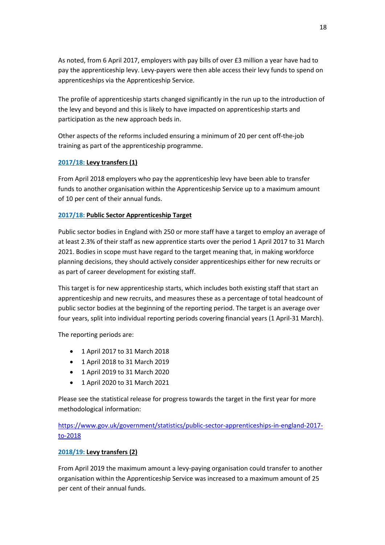As noted, from 6 April 2017, employers with pay bills of over £3 million a year have had to pay the apprenticeship levy. Levy-payers were then able access their levy funds to spend on apprenticeships via the Apprenticeship Service.

The profile of apprenticeship starts changed significantly in the run up to the introduction of the levy and beyond and this is likely to have impacted on apprenticeship starts and participation as the new approach beds in.

Other aspects of the reforms included ensuring a minimum of 20 per cent off-the-job training as part of the apprenticeship programme.

## **2017/18: Levy transfers (1)**

From April 2018 employers who pay the apprenticeship levy have been able to transfer funds to another organisation within the Apprenticeship Service up to a maximum amount of 10 per cent of their annual funds.

## **2017/18: Public Sector Apprenticeship Target**

Public sector bodies in England with 250 or more staff have a target to employ an average of at least 2.3% of their staff as new apprentice starts over the period 1 April 2017 to 31 March 2021. Bodies in scope must have regard to the target meaning that, in making workforce planning decisions, they should actively consider apprenticeships either for new recruits or as part of career development for existing staff.

This target is for new apprenticeship starts, which includes both existing staff that start an apprenticeship and new recruits, and measures these as a percentage of total headcount of public sector bodies at the beginning of the reporting period. The target is an average over four years, split into individual reporting periods covering financial years (1 April-31 March).

The reporting periods are:

- 1 April 2017 to 31 March 2018
- 1 April 2018 to 31 March 2019
- 1 April 2019 to 31 March 2020
- 1 April 2020 to 31 March 2021

Please see the statistical release for progress towards the target in the first year for more methodological information:

[https://www.gov.uk/government/statistics/public-sector-apprenticeships-in-england-2017](https://www.gov.uk/government/statistics/public-sector-apprenticeships-in-england-2017-to-2018) [to-2018](https://www.gov.uk/government/statistics/public-sector-apprenticeships-in-england-2017-to-2018)

## **2018/19: Levy transfers (2)**

From April 2019 the maximum amount a levy-paying organisation could transfer to another organisation within the Apprenticeship Service was increased to a maximum amount of 25 per cent of their annual funds.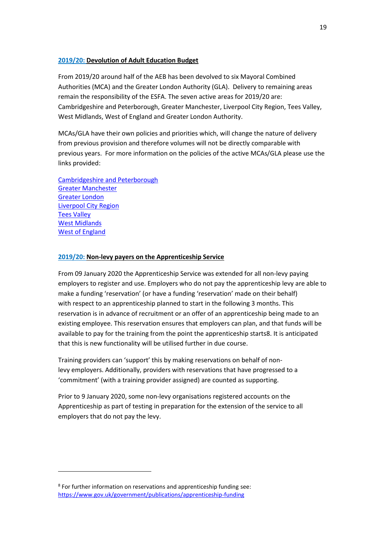#### **2019/20: Devolution of Adult Education Budget**

From 2019/20 around half of the AEB has been devolved to six Mayoral Combined Authorities (MCA) and the Greater London Authority (GLA). Delivery to remaining areas remain the responsibility of the ESFA. The seven active areas for 2019/20 are: Cambridgeshire and Peterborough, Greater Manchester, Liverpool City Region, Tees Valley, West Midlands, West of England and Greater London Authority.

MCAs/GLA have their own policies and priorities which, will change the nature of delivery from previous provision and therefore volumes will not be directly comparable with previous years. For more information on the policies of the active MCAs/GLA please use the links provided:

[Cambridgeshire and Peterborough](https://cambridgeshirepeterborough-ca.gov.uk/about-us/programmes/adult-education-budget/) [Greater Manchester](https://www.greatermanchester-ca.gov.uk/what-we-do/work-and-skills/adult-education-budget/) [Greater London](https://www.london.gov.uk/what-we-do/skills-and-employment/skills-londoners/adult-education-budget) [Liverpool City Region](https://www.liverpoolcityregion-ca.gov.uk/adult-education-budget/) [Tees Valley](https://teesvalley-ca.gov.uk/skills-employment/adult-education-budget/) [West Midlands](https://www.wmca.org.uk/what-we-do/productivity-skills/adult-education-budget/) [West of England](https://www.westofengland-ca.gov.uk/adult-education-budget/)

#### **2019/20: Non-levy payers on the Apprenticeship Service**

From 09 January 2020 the Apprenticeship Service was extended for all non-levy paying employers to register and use. Employers who do not pay the apprenticeship levy are able to make a funding 'reservation' (or have a funding 'reservation' made on their behalf) with respect to an apprenticeship planned to start in the following 3 months. This reservation is in advance of recruitment or an offer of an apprenticeship being made to an existing employee. This reservation ensures that employers can plan, and that funds will be available to pay for the training from the point the apprenticeship starts8. It is anticipated that this is new functionality will be utilised further in due course.

Training providers can 'support' this by making reservations on behalf of nonlevy employers. Additionally, providers with reservations that have progressed to a 'commitment' (with a training provider assigned) are counted as supporting.

Prior to 9 January 2020, some non-levy organisations registered accounts on the Apprenticeship as part of testing in preparation for the extension of the service to all employers that do not pay the levy.

<sup>8</sup> For further information on reservations and apprenticeship funding see: <https://www.gov.uk/government/publications/apprenticeship-funding>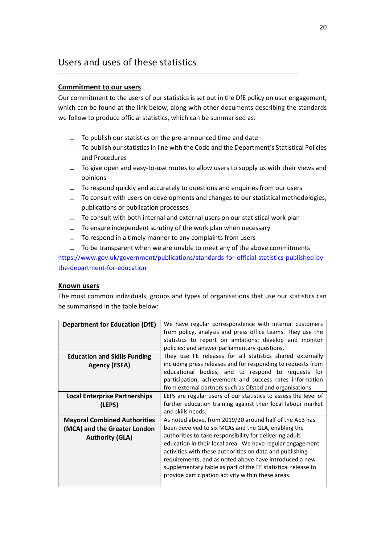# <span id="page-19-0"></span>Users and uses of these statistics

# <span id="page-19-1"></span>**Commitment to our users**

Our commitment to the users of our statistics is set out in the DfE policy on user engagement, which can be found at the link below, along with other documents describing the standards we follow to produce official statistics, which can be summarised as:

- $\overline{-}$  To publish our statistics on the pre-announced time and date
- ̶ To publish our statistics in line with the Code and the Department's Statistical Policies and Procedures
- $\equiv$  To give open and easy-to-use routes to allow users to supply us with their views and opinions
- ̶ To respond quickly and accurately to questions and enquiries from our users
- ̶ To consult with users on developments and changes to our statistical methodologies, publications or publication processes
- $\equiv$  To consult with both internal and external users on our statistical work plan
- $\equiv$  To ensure independent scrutiny of the work plan when necessary
- $\equiv$  To respond in a timely manner to any complaints from users
- $\equiv$  To be transparent when we are unable to meet any of the above commitments

[https://www.gov.uk/government/publications/standards-for-official-statistics-published-by](https://www.gov.uk/government/publications/standards-for-official-statistics-published-by-the-department-for-education)[the-department-for-education](https://www.gov.uk/government/publications/standards-for-official-statistics-published-by-the-department-for-education)

## <span id="page-19-2"></span>**Known users**

The most common individuals, groups and types of organisations that use our statistics can be summarised in the table below:

| <b>Department for Education (DfE)</b> | We have regular correspondence with internal customers          |
|---------------------------------------|-----------------------------------------------------------------|
|                                       | from policy, analysis and press office teams. They use the      |
|                                       | statistics to report on ambitions; develop and monitor          |
|                                       | policies; and answer parliamentary questions.                   |
| <b>Education and Skills Funding</b>   | They use FE releases for all statistics shared externally       |
| <b>Agency (ESFA)</b>                  | including press releases and for responding to requests from    |
|                                       | educational bodies, and to respond to requests for              |
|                                       | participation, achievement and success rates information        |
|                                       | from external partners such as Ofsted and organisations.        |
| <b>Local Enterprise Partnerships</b>  | LEPs are regular users of our statistics to assess the level of |
| (LEPS)                                | further education training against their local labour market    |
|                                       | and skills needs.                                               |
| <b>Mayoral Combined Authorities</b>   | As noted above, from 2019/20 around half of the AEB has         |
| (MCA) and the Greater London          | been devolved to six MCAs and the GLA, enabling the             |
| <b>Authority (GLA)</b>                | authorities to take responsibility for delivering adult         |
|                                       | education in their local area. We have regular engagement       |
|                                       | activities with these authorities on data and publishing        |
|                                       | requirements, and as noted above have introduced a new          |
|                                       | supplementary table as part of the FE statistical release to    |
|                                       | provide participation activity within these areas.              |
|                                       |                                                                 |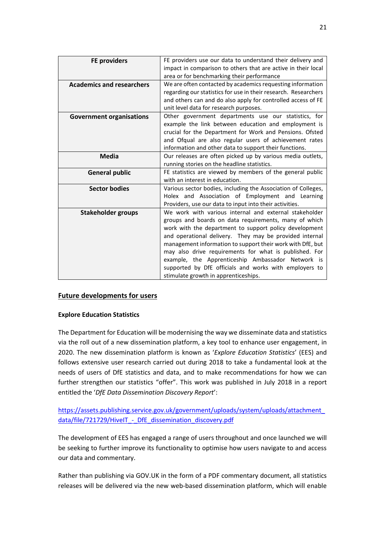| <b>FE providers</b>              | FE providers use our data to understand their delivery and      |
|----------------------------------|-----------------------------------------------------------------|
|                                  | impact in comparison to others that are active in their local   |
|                                  | area or for benchmarking their performance                      |
| <b>Academics and researchers</b> | We are often contacted by academics requesting information      |
|                                  | regarding our statistics for use in their research. Researchers |
|                                  | and others can and do also apply for controlled access of FE    |
|                                  | unit level data for research purposes.                          |
| <b>Government organisations</b>  | Other government departments use our statistics, for            |
|                                  | example the link between education and employment is            |
|                                  | crucial for the Department for Work and Pensions. Ofsted        |
|                                  | and Ofqual are also regular users of achievement rates          |
|                                  | information and other data to support their functions.          |
| <b>Media</b>                     | Our releases are often picked up by various media outlets,      |
|                                  | running stories on the headline statistics.                     |
| <b>General public</b>            | FE statistics are viewed by members of the general public       |
|                                  | with an interest in education.                                  |
| <b>Sector bodies</b>             | Various sector bodies, including the Association of Colleges,   |
|                                  | Holex and Association of Employment and Learning                |
|                                  | Providers, use our data to input into their activities.         |
| <b>Stakeholder groups</b>        | We work with various internal and external stakeholder          |
|                                  | groups and boards on data requirements, many of which           |
|                                  | work with the department to support policy development          |
|                                  | and operational delivery. They may be provided internal         |
|                                  | management information to support their work with DfE, but      |
|                                  | may also drive requirements for what is published. For          |
|                                  | example, the Apprenticeship Ambassador Network is               |
|                                  | supported by DfE officials and works with employers to          |
|                                  | stimulate growth in apprenticeships.                            |

# <span id="page-20-0"></span>**Future developments for users**

## **Explore Education Statistics**

The Department for Education will be modernising the way we disseminate data and statistics via the roll out of a new dissemination platform, a key tool to enhance user engagement, in 2020. The new dissemination platform is known as '*Explore Education Statistics*' (EES) and follows extensive user research carried out during 2018 to take a fundamental look at the needs of users of DfE statistics and data, and to make recommendations for how we can further strengthen our statistics "offer". This work was published in July 2018 in a report entitled the '*DfE Data Dissemination Discovery Report*':

[https://assets.publishing.service.gov.uk/government/uploads/system/uploads/attachment\\_](https://assets.publishing.service.gov.uk/government/uploads/system/uploads/attachment_data/file/721729/HiveIT_-_DfE_dissemination_discovery.pdf) data/file/721729/HiveIT - DfE\_dissemination\_discovery.pdf

The development of EES has engaged a range of users throughout and once launched we will be seeking to further improve its functionality to optimise how users navigate to and access our data and commentary.

Rather than publishing via GOV.UK in the form of a PDF commentary document, all statistics releases will be delivered via the new web-based dissemination platform, which will enable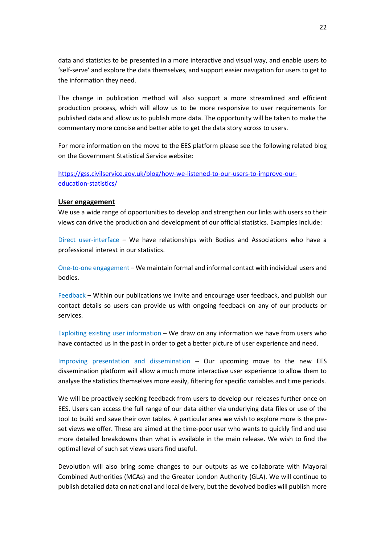data and statistics to be presented in a more interactive and visual way, and enable users to 'self-serve' and explore the data themselves, and support easier navigation for users to get to the information they need.

The change in publication method will also support a more streamlined and efficient production process, which will allow us to be more responsive to user requirements for published data and allow us to publish more data. The opportunity will be taken to make the commentary more concise and better able to get the data story across to users.

For more information on the move to the EES platform please see the following related blog on the Government Statistical Service website**:**

[https://gss.civilservice.gov.uk/blog/how-we-listened-to-our-users-to-improve-our](https://gss.civilservice.gov.uk/blog/how-we-listened-to-our-users-to-improve-our-education-statistics/)[education-statistics/](https://gss.civilservice.gov.uk/blog/how-we-listened-to-our-users-to-improve-our-education-statistics/)

#### <span id="page-21-0"></span>**User engagement**

We use a wide range of opportunities to develop and strengthen our links with users so their views can drive the production and development of our official statistics. Examples include:

Direct user-interface – We have relationships with Bodies and Associations who have a professional interest in our statistics.

One-to-one engagement – We maintain formal and informal contact with individual users and bodies.

Feedback – Within our publications we invite and encourage user feedback, and publish our contact details so users can provide us with ongoing feedback on any of our products or services.

Exploiting existing user information – We draw on any information we have from users who have contacted us in the past in order to get a better picture of user experience and need.

Improving presentation and dissemination – Our upcoming move to the new EES dissemination platform will allow a much more interactive user experience to allow them to analyse the statistics themselves more easily, filtering for specific variables and time periods.

We will be proactively seeking feedback from users to develop our releases further once on EES. Users can access the full range of our data either via underlying data files or use of the tool to build and save their own tables. A particular area we wish to explore more is the preset views we offer. These are aimed at the time-poor user who wants to quickly find and use more detailed breakdowns than what is available in the main release. We wish to find the optimal level of such set views users find useful.

Devolution will also bring some changes to our outputs as we collaborate with Mayoral Combined Authorities (MCAs) and the Greater London Authority (GLA). We will continue to publish detailed data on national and local delivery, but the devolved bodies will publish more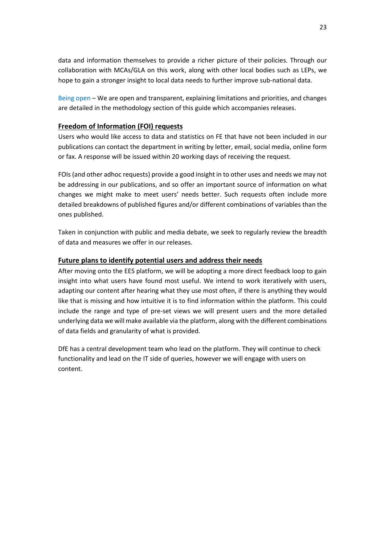data and information themselves to provide a richer picture of their policies. Through our collaboration with MCAs/GLA on this work, along with other local bodies such as LEPs, we hope to gain a stronger insight to local data needs to further improve sub-national data.

Being open – We are open and transparent, explaining limitations and priorities, and changes are detailed in the methodology section of this guide which accompanies releases.

## <span id="page-22-0"></span>**Freedom of Information (FOI) requests**

Users who would like access to data and statistics on FE that have not been included in our publications can contact the department in writing by letter, email, social media, online form or fax. A response will be issued within 20 working days of receiving the request.

FOIs (and other adhoc requests) provide a good insight in to other uses and needs we may not be addressing in our publications, and so offer an important source of information on what changes we might make to meet users' needs better. Such requests often include more detailed breakdowns of published figures and/or different combinations of variables than the ones published.

Taken in conjunction with public and media debate, we seek to regularly review the breadth of data and measures we offer in our releases.

# <span id="page-22-1"></span>**Future plans to identify potential users and address their needs**

After moving onto the EES platform, we will be adopting a more direct feedback loop to gain insight into what users have found most useful. We intend to work iteratively with users, adapting our content after hearing what they use most often, if there is anything they would like that is missing and how intuitive it is to find information within the platform. This could include the range and type of pre-set views we will present users and the more detailed underlying data we will make available via the platform, along with the different combinations of data fields and granularity of what is provided.

DfE has a central development team who lead on the platform. They will continue to check functionality and lead on the IT side of queries, however we will engage with users on content.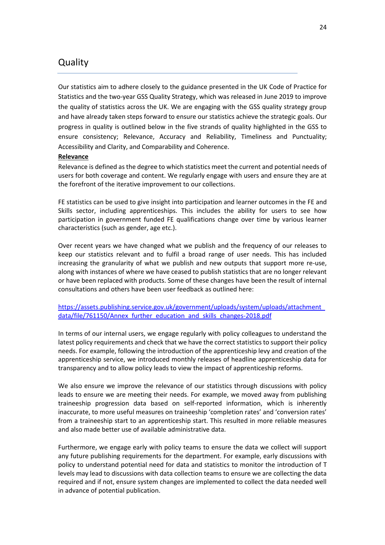# <span id="page-23-0"></span>Quality

Our statistics aim to adhere closely to the guidance presented in the UK Code of Practice for Statistics and the two-year GSS Quality Strategy, which was released in June 2019 to improve the quality of statistics across the UK. We are engaging with the GSS quality strategy group and have already taken steps forward to ensure our statistics achieve the strategic goals. Our progress in quality is outlined below in the five strands of quality highlighted in the GSS to ensure consistency; Relevance, Accuracy and Reliability, Timeliness and Punctuality; Accessibility and Clarity, and Comparability and Coherence.

## <span id="page-23-1"></span>**Relevance**

Relevance is defined as the degree to which statistics meet the current and potential needs of users for both coverage and content. We regularly engage with users and ensure they are at the forefront of the iterative improvement to our collections.

FE statistics can be used to give insight into participation and learner outcomes in the FE and Skills sector, including apprenticeships. This includes the ability for users to see how participation in government funded FE qualifications change over time by various learner characteristics (such as gender, age etc.).

Over recent years we have changed what we publish and the frequency of our releases to keep our statistics relevant and to fulfil a broad range of user needs. This has included increasing the granularity of what we publish and new outputs that support more re-use, along with instances of where we have ceased to publish statistics that are no longer relevant or have been replaced with products. Some of these changes have been the result of internal consultations and others have been user feedback as outlined here:

[https://assets.publishing.service.gov.uk/government/uploads/system/uploads/attachment\\_](https://assets.publishing.service.gov.uk/government/uploads/system/uploads/attachment_data/file/761150/Annex_further_education_and_skills_changes-2018.pdf) [data/file/761150/Annex\\_further\\_education\\_and\\_skills\\_changes-2018.pdf](https://assets.publishing.service.gov.uk/government/uploads/system/uploads/attachment_data/file/761150/Annex_further_education_and_skills_changes-2018.pdf)

In terms of our internal users, we engage regularly with policy colleagues to understand the latest policy requirements and check that we have the correct statistics to support their policy needs. For example, following the introduction of the apprenticeship levy and creation of the apprenticeship service, we introduced monthly releases of headline apprenticeship data for transparency and to allow policy leads to view the impact of apprenticeship reforms.

We also ensure we improve the relevance of our statistics through discussions with policy leads to ensure we are meeting their needs. For example, we moved away from publishing traineeship progression data based on self-reported information, which is inherently inaccurate, to more useful measures on traineeship 'completion rates' and 'conversion rates' from a traineeship start to an apprenticeship start. This resulted in more reliable measures and also made better use of available administrative data.

Furthermore, we engage early with policy teams to ensure the data we collect will support any future publishing requirements for the department. For example, early discussions with policy to understand potential need for data and statistics to monitor the introduction of T levels may lead to discussions with data collection teams to ensure we are collecting the data required and if not, ensure system changes are implemented to collect the data needed well in advance of potential publication.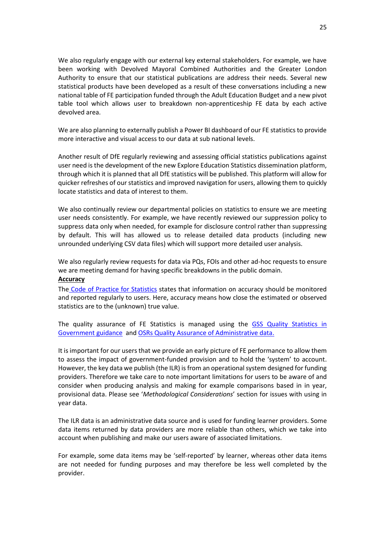We also regularly engage with our external key external stakeholders. For example, we have been working with Devolved Mayoral Combined Authorities and the Greater London Authority to ensure that our statistical publications are address their needs. Several new statistical products have been developed as a result of these conversations including a new national table of FE participation funded through the Adult Education Budget and a new pivot table tool which allows user to breakdown non-apprenticeship FE data by each active devolved area.

We are also planning to externally publish a Power BI dashboard of our FE statistics to provide more interactive and visual access to our data at sub national levels.

Another result of DfE regularly reviewing and assessing official statistics publications against user need is the development of the new Explore Education Statistics dissemination platform, through which it is planned that all DfE statistics will be published. This platform will allow for quicker refreshes of our statistics and improved navigation for users, allowing them to quickly locate statistics and data of interest to them.

We also continually review our departmental policies on statistics to ensure we are meeting user needs consistently. For example, we have recently reviewed our suppression policy to suppress data only when needed, for example for disclosure control rather than suppressing by default. This will has allowed us to release detailed data products (including new unrounded underlying CSV data files) which will support more detailed user analysis.

We also regularly review requests for data via PQs, FOIs and other ad-hoc requests to ensure we are meeting demand for having specific breakdowns in the public domain.

#### <span id="page-24-0"></span>**Accuracy**

The [Code of Practice for Statistics](https://www.statisticsauthority.gov.uk/code-of-practice/the-code/) states that information on accuracy should be monitored and reported regularly to users. Here, accuracy means how close the estimated or observed statistics are to the (unknown) true value.

The quality assurance of FE Statistics is managed using the GSS Quality Statistics in [Government guidance](https://gss.civilservice.gov.uk/policy-store/quality-statistics-in-government/#accessibility-and-clarity) an[d OSRs Quality Assurance of Administrative data.](https://gss.civilservice.gov.uk/policy-store/quality-assurance-of-administrative-data/)

It is important for our users that we provide an early picture of FE performance to allow them to assess the impact of government-funded provision and to hold the 'system' to account. However, the key data we publish (the ILR) is from an operational system designed for funding providers. Therefore we take care to note important limitations for users to be aware of and consider when producing analysis and making for example comparisons based in in year, provisional data. Please see '*Methodological Considerations*' section for issues with using in year data.

The ILR data is an administrative data source and is used for funding learner providers. Some data items returned by data providers are more reliable than others, which we take into account when publishing and make our users aware of associated limitations.

For example, some data items may be 'self-reported' by learner, whereas other data items are not needed for funding purposes and may therefore be less well completed by the provider.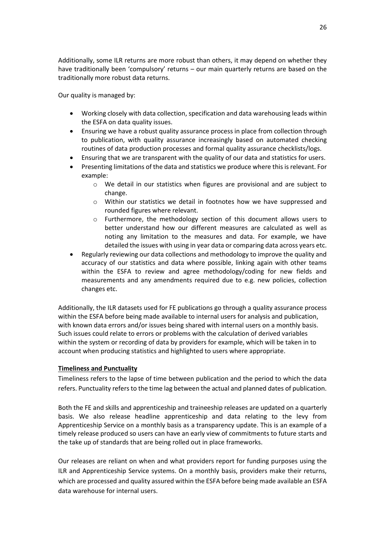Additionally, some ILR returns are more robust than others, it may depend on whether they have traditionally been 'compulsory' returns – our main quarterly returns are based on the traditionally more robust data returns.

Our quality is managed by:

- Working closely with data collection, specification and data warehousing leads within the ESFA on data quality issues.
- Ensuring we have a robust quality assurance process in place from collection through to publication, with quality assurance increasingly based on automated checking routines of data production processes and formal quality assurance checklists/logs.
- Ensuring that we are transparent with the quality of our data and statistics for users.
- Presenting limitations of the data and statistics we produce where this is relevant. For example:
	- o We detail in our statistics when figures are provisional and are subject to change.
	- o Within our statistics we detail in footnotes how we have suppressed and rounded figures where relevant.
	- o Furthermore, the methodology section of this document allows users to better understand how our different measures are calculated as well as noting any limitation to the measures and data. For example, we have detailed the issues with using in year data or comparing data across years etc.
- Regularly reviewing our data collections and methodology to improve the quality and accuracy of our statistics and data where possible, linking again with other teams within the ESFA to review and agree methodology/coding for new fields and measurements and any amendments required due to e.g. new policies, collection changes etc.

Additionally, the ILR datasets used for FE publications go through a quality assurance process within the ESFA before being made available to internal users for analysis and publication, with known data errors and/or issues being shared with internal users on a monthly basis. Such issues could relate to errors or problems with the calculation of derived variables within the system or recording of data by providers for example, which will be taken in to account when producing statistics and highlighted to users where appropriate.

## <span id="page-25-0"></span>**Timeliness and Punctuality**

Timeliness refers to the lapse of time between publication and the period to which the data refers. Punctuality refers to the time lag between the actual and planned dates of publication.

Both the FE and skills and apprenticeship and traineeship releases are updated on a quarterly basis. We also release headline apprenticeship and data relating to the levy from Apprenticeship Service on a monthly basis as a transparency update. This is an example of a timely release produced so users can have an early view of commitments to future starts and the take up of standards that are being rolled out in place frameworks.

Our releases are reliant on when and what providers report for funding purposes using the ILR and Apprenticeship Service systems. On a monthly basis, providers make their returns, which are processed and quality assured within the ESFA before being made available an ESFA data warehouse for internal users.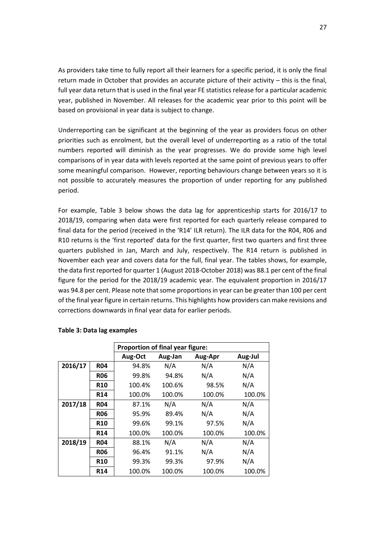As providers take time to fully report all their learners for a specific period, it is only the final return made in October that provides an accurate picture of their activity – this is the final, full year data return that is used in the final year FE statistics release for a particular academic year, published in November. All releases for the academic year prior to this point will be based on provisional in year data is subject to change.

Underreporting can be significant at the beginning of the year as providers focus on other priorities such as enrolment, but the overall level of underreporting as a ratio of the total numbers reported will diminish as the year progresses. We do provide some high level comparisons of in year data with levels reported at the same point of previous years to offer some meaningful comparison. However, reporting behaviours change between years so it is not possible to accurately measures the proportion of under reporting for any published period.

For example, Table 3 below shows the data lag for apprenticeship starts for 2016/17 to 2018/19, comparing when data were first reported for each quarterly release compared to final data for the period (received in the 'R14' ILR return). The ILR data for the R04, R06 and R10 returns is the 'first reported' data for the first quarter, first two quarters and first three quarters published in Jan, March and July, respectively. The R14 return is published in November each year and covers data for the full, final year. The tables shows, for example, the data first reported for quarter 1 (August 2018-October 2018) was 88.1 per cent of the final figure for the period for the 2018/19 academic year. The equivalent proportion in 2016/17 was 94.8 per cent. Please note that some proportions in year can be greater than 100 per cent of the final year figure in certain returns. This highlights how providers can make revisions and corrections downwards in final year data for earlier periods.

|         |                 | <b>Proportion of final year figure:</b> |         |         |         |
|---------|-----------------|-----------------------------------------|---------|---------|---------|
|         |                 | Aug-Oct                                 | Aug-Jan | Aug-Apr | Aug-Jul |
| 2016/17 | <b>R04</b>      | 94.8%                                   | N/A     | N/A     | N/A     |
|         | <b>R06</b>      | 99.8%                                   | 94.8%   | N/A     | N/A     |
|         | <b>R10</b>      | 100.4%                                  | 100.6%  | 98.5%   | N/A     |
|         | <b>R14</b>      | 100.0%                                  | 100.0%  | 100.0%  | 100.0%  |
| 2017/18 | <b>R04</b>      | 87.1%                                   | N/A     | N/A     | N/A     |
|         | <b>R06</b>      | 95.9%                                   | 89.4%   | N/A     | N/A     |
|         | <b>R10</b>      | 99.6%                                   | 99.1%   | 97.5%   | N/A     |
|         | R <sub>14</sub> | 100.0%                                  | 100.0%  | 100.0%  | 100.0%  |
| 2018/19 | <b>R04</b>      | 88.1%                                   | N/A     | N/A     | N/A     |
|         | <b>RO6</b>      | 96.4%                                   | 91.1%   | N/A     | N/A     |
|         | <b>R10</b>      | 99.3%                                   | 99.3%   | 97.9%   | N/A     |
|         | <b>R14</b>      | 100.0%                                  | 100.0%  | 100.0%  | 100.0%  |

## **Table 3: Data lag examples**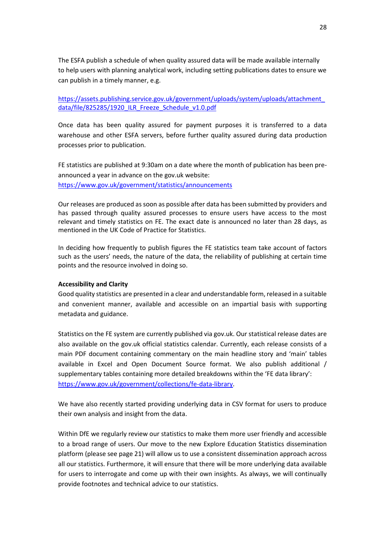The ESFA publish a schedule of when quality assured data will be made available internally to help users with planning analytical work, including setting publications dates to ensure we can publish in a timely manner, e.g.

[https://assets.publishing.service.gov.uk/government/uploads/system/uploads/attachment\\_](https://assets.publishing.service.gov.uk/government/uploads/system/uploads/attachment_data/file/825285/1920_ILR_Freeze_Schedule_v1.0.pdf) [data/file/825285/1920\\_ILR\\_Freeze\\_Schedule\\_v1.0.pdf](https://assets.publishing.service.gov.uk/government/uploads/system/uploads/attachment_data/file/825285/1920_ILR_Freeze_Schedule_v1.0.pdf)

Once data has been quality assured for payment purposes it is transferred to a data warehouse and other ESFA servers, before further quality assured during data production processes prior to publication.

FE statistics are published at 9:30am on a date where the month of publication has been preannounced a year in advance on the gov.uk website: <https://www.gov.uk/government/statistics/announcements>

Our releases are produced as soon as possible after data has been submitted by providers and has passed through quality assured processes to ensure users have access to the most relevant and timely statistics on FE. The exact date is announced no later than 28 days, as mentioned in the UK Code of Practice for Statistics.

In deciding how frequently to publish figures the FE statistics team take account of factors such as the users' needs, the nature of the data, the reliability of publishing at certain time points and the resource involved in doing so.

#### <span id="page-27-0"></span>**Accessibility and Clarity**

Good quality statistics are presented in a clear and understandable form, released in a suitable and convenient manner, available and accessible on an impartial basis with supporting metadata and guidance.

Statistics on the FE system are currently published via gov.uk. Our statistical release dates are also available on the gov.uk official statistics calendar. Currently, each release consists of a main PDF document containing commentary on the main headline story and 'main' tables available in Excel and Open Document Source format. We also publish additional / supplementary tables containing more detailed breakdowns within the 'FE data library': [https://www.gov.uk/government/collections/fe-data-library.](https://www.gov.uk/government/collections/fe-data-library)

We have also recently started providing underlying data in CSV format for users to produce their own analysis and insight from the data.

Within DfE we regularly review our statistics to make them more user friendly and accessible to a broad range of users. Our move to the new Explore Education Statistics dissemination platform (please see page 21) will allow us to use a consistent dissemination approach across all our statistics. Furthermore, it will ensure that there will be more underlying data available for users to interrogate and come up with their own insights. As always, we will continually provide footnotes and technical advice to our statistics.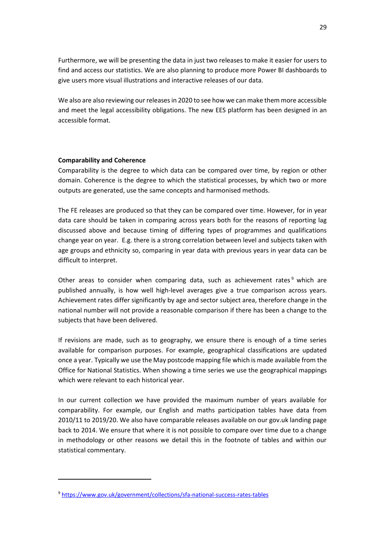Furthermore, we will be presenting the data in just two releases to make it easier for users to find and access our statistics. We are also planning to produce more Power BI dashboards to give users more visual illustrations and interactive releases of our data.

We also are also reviewing our releases in 2020 to see how we can make them more accessible and meet the legal accessibility obligations. The new EES platform has been designed in an accessible format.

## <span id="page-28-0"></span>**Comparability and Coherence**

Comparability is the degree to which data can be compared over time, by region or other domain. Coherence is the degree to which the statistical processes, by which two or more outputs are generated, use the same concepts and harmonised methods.

The FE releases are produced so that they can be compared over time. However, for in year data care should be taken in comparing across years both for the reasons of reporting lag discussed above and because timing of differing types of programmes and qualifications change year on year. E.g. there is a strong correlation between level and subjects taken with age groups and ethnicity so, comparing in year data with previous years in year data can be difficult to interpret.

Other areas to consider when comparing data, such as achievement rates<sup>9</sup> which are published annually, is how well high-level averages give a true comparison across years. Achievement rates differ significantly by age and sector subject area, therefore change in the national number will not provide a reasonable comparison if there has been a change to the subjects that have been delivered.

If revisions are made, such as to geography, we ensure there is enough of a time series available for comparison purposes. For example, geographical classifications are updated once a year. Typically we use the May postcode mapping file which is made available from the Office for National Statistics. When showing a time series we use the geographical mappings which were relevant to each historical year.

In our current collection we have provided the maximum number of years available for comparability. For example, our English and maths participation tables have data from 2010/11 to 2019/20. We also have comparable releases available on our gov.uk landing page back to 2014. We ensure that where it is not possible to compare over time due to a change in methodology or other reasons we detail this in the footnote of tables and within our statistical commentary.

<sup>9</sup> <https://www.gov.uk/government/collections/sfa-national-success-rates-tables>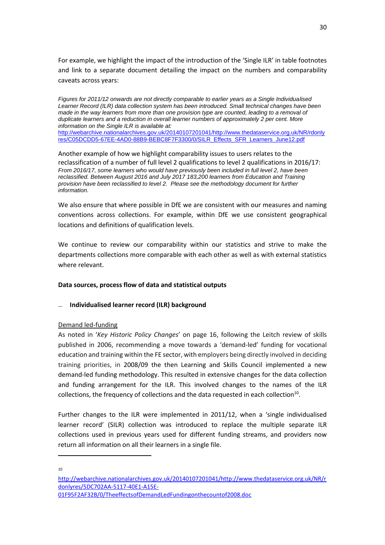For example, we highlight the impact of the introduction of the 'Single ILR' in table footnotes and link to a separate document detailing the impact on the numbers and comparability caveats across years:

*Figures for 2011/12 onwards are not directly comparable to earlier years as a Single Individualised Learner Record (ILR) data collection system has been introduced. Small technical changes have been made in the way learners from more than one provision type are counted, leading to a removal of duplicate learners and a reduction in overall learner numbers of approximately 2 per cent. More information on the Single ILR is available at:* 

[http://webarchive.nationalarchives.gov.uk/20140107201041/http://www.thedataservice.org.uk/NR/rdonly](http://webarchive.nationalarchives.gov.uk/20140107201041/http:/www.thedataservice.org.uk/NR/rdonlyres/C05DCDD5-67EE-4AD0-88B9-BEBC8F7F3300/0/SILR_Effects_SFR_Learners_June12.pdf) [res/C05DCDD5-67EE-4AD0-88B9-BEBC8F7F3300/0/SILR\\_Effects\\_SFR\\_Learners\\_June12.pdf](http://webarchive.nationalarchives.gov.uk/20140107201041/http:/www.thedataservice.org.uk/NR/rdonlyres/C05DCDD5-67EE-4AD0-88B9-BEBC8F7F3300/0/SILR_Effects_SFR_Learners_June12.pdf)

Another example of how we highlight comparability issues to users relates to the reclassification of a number of full level 2 qualifications to level 2 qualifications in 2016/17: *From 2016/17, some learners who would have previously been included in full level 2, have been reclassified. Between August 2016 and July 2017 183,200 learners from Education and Training provision have been reclassified to level 2. Please see the methodology document for further information.*

We also ensure that where possible in DfE we are consistent with our measures and naming conventions across collections. For example, within DfE we use consistent geographical locations and definitions of qualification levels.

We continue to review our comparability within our statistics and strive to make the departments collections more comparable with each other as well as with external statistics where relevant.

**Data sources, process flow of data and statistical outputs** 

̶ **Individualised learner record (ILR) background**

# Demand led-funding

As noted in '*Key Historic Policy Changes*' on page 16, following the Leitch review of skills published in 2006, recommending a move towards a 'demand-led' funding for vocational education and training within the FE sector, with employers being directly involved in deciding training priorities, in 2008/09 the then Learning and Skills Council implemented a new demand-led funding methodology. This resulted in extensive changes for the data collection and funding arrangement for the ILR. This involved changes to the names of the ILR collections, the frequency of collections and the data requested in each collection $^{10}$ .

Further changes to the ILR were implemented in 2011/12, when a 'single individualised learner record' (SILR) collection was introduced to replace the multiple separate ILR collections used in previous years used for different funding streams, and providers now return all information on all their learners in a single file.

10

[http://webarchive.nationalarchives.gov.uk/20140107201041/http://www.thedataservice.org.uk/NR/r](http://webarchive.nationalarchives.gov.uk/20140107201041/http:/www.thedataservice.org.uk/NR/rdonlyres/5DC702AA-5117-40E1-A15E-01F95F2AF32B/0/TheeffectsofDemandLedFundingonthecountof2008.doc) [donlyres/5DC702AA-5117-40E1-A15E-](http://webarchive.nationalarchives.gov.uk/20140107201041/http:/www.thedataservice.org.uk/NR/rdonlyres/5DC702AA-5117-40E1-A15E-01F95F2AF32B/0/TheeffectsofDemandLedFundingonthecountof2008.doc)

[<sup>01</sup>F95F2AF32B/0/TheeffectsofDemandLedFundingonthecountof2008.doc](http://webarchive.nationalarchives.gov.uk/20140107201041/http:/www.thedataservice.org.uk/NR/rdonlyres/5DC702AA-5117-40E1-A15E-01F95F2AF32B/0/TheeffectsofDemandLedFundingonthecountof2008.doc)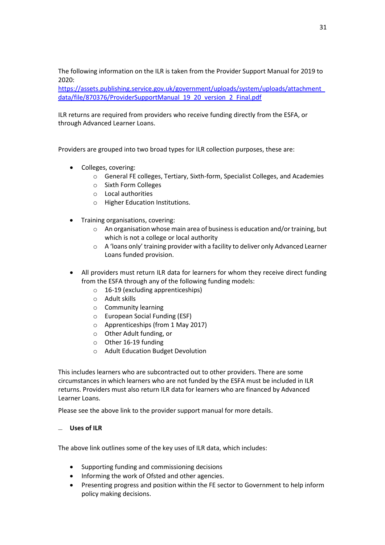The following information on the ILR is taken from the Provider Support Manual for 2019 to 2020:

[https://assets.publishing.service.gov.uk/government/uploads/system/uploads/attachment\\_](https://assets.publishing.service.gov.uk/government/uploads/system/uploads/attachment_data/file/870376/ProviderSupportManual_19_20_version_2_Final.pdf) [data/file/870376/ProviderSupportManual\\_19\\_20\\_version\\_2\\_Final.pdf](https://assets.publishing.service.gov.uk/government/uploads/system/uploads/attachment_data/file/870376/ProviderSupportManual_19_20_version_2_Final.pdf)

ILR returns are required from providers who receive funding directly from the ESFA, or through Advanced Learner Loans.

Providers are grouped into two broad types for ILR collection purposes, these are:

- Colleges, covering:
	- o General FE colleges, Tertiary, Sixth-form, Specialist Colleges, and Academies
	- o Sixth Form Colleges
	- o Local authorities
	- o Higher Education Institutions.
- Training organisations, covering:
	- $\circ$  An organisation whose main area of business is education and/or training, but which is not a college or local authority
	- o A 'loans only' training provider with a facility to deliver only Advanced Learner Loans funded provision.
- All providers must return ILR data for learners for whom they receive direct funding from the ESFA through any of the following funding models:
	- o 16-19 (excluding apprenticeships)
	- o Adult skills
	- o Community learning
	- o European Social Funding (ESF)
	- o Apprenticeships (from 1 May 2017)
	- o Other Adult funding, or
	- o Other 16-19 funding
	- o Adult Education Budget Devolution

This includes learners who are subcontracted out to other providers. There are some circumstances in which learners who are not funded by the ESFA must be included in ILR returns. Providers must also return ILR data for learners who are financed by Advanced Learner Loans.

Please see the above link to the provider support manual for more details.

## ̶ **Uses of ILR**

The above link outlines some of the key uses of ILR data, which includes:

- Supporting funding and commissioning decisions
- Informing the work of Ofsted and other agencies.
- Presenting progress and position within the FE sector to Government to help inform policy making decisions.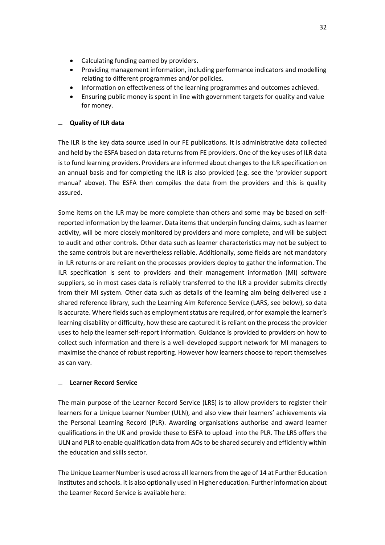- Calculating funding earned by providers.
- Providing management information, including performance indicators and modelling relating to different programmes and/or policies.
- Information on effectiveness of the learning programmes and outcomes achieved.
- Ensuring public money is spent in line with government targets for quality and value for money.

## ̶ **Quality of ILR data**

The ILR is the key data source used in our FE publications. It is administrative data collected and held by the ESFA based on data returns from FE providers. One of the key uses of ILR data is to fund learning providers. Providers are informed about changes to the ILR specification on an annual basis and for completing the ILR is also provided (e.g. see the 'provider support manual' above). The ESFA then compiles the data from the providers and this is quality assured.

Some items on the ILR may be more complete than others and some may be based on selfreported information by the learner. Data items that underpin funding claims, such as learner activity, will be more closely monitored by providers and more complete, and will be subject to audit and other controls. Other data such as learner characteristics may not be subject to the same controls but are nevertheless reliable. Additionally, some fields are not mandatory in ILR returns or are reliant on the processes providers deploy to gather the information. The ILR specification is sent to providers and their management information (MI) software suppliers, so in most cases data is reliably transferred to the ILR a provider submits directly from their MI system. Other data such as details of the learning aim being delivered use a shared reference library, such the Learning Aim Reference Service (LARS, see below), so data is accurate. Where fields such as employment status are required, or for example the learner's learning disability or difficulty, how these are captured it is reliant on the process the provider uses to help the learner self-report information. Guidance is provided to providers on how to collect such information and there is a well-developed support network for MI managers to maximise the chance of robust reporting. However how learners choose to report themselves as can vary.

## ̶ **Learner Record Service**

The main purpose of the Learner Record Service (LRS) is to allow providers to register their learners for a Unique Learner Number (ULN), and also view their learners' achievements via the Personal Learning Record (PLR). Awarding organisations authorise and award learner qualifications in the UK and provide these to ESFA to upload into the PLR. The LRS offers the ULN and PLR to enable qualification data from AOs to be shared securely and efficiently within the education and skills sector.

The Unique Learner Number is used across all learners from the age of 14 at Further Education institutes and schools. It is also optionally used in Higher education. Further information about the Learner Record Service is available here: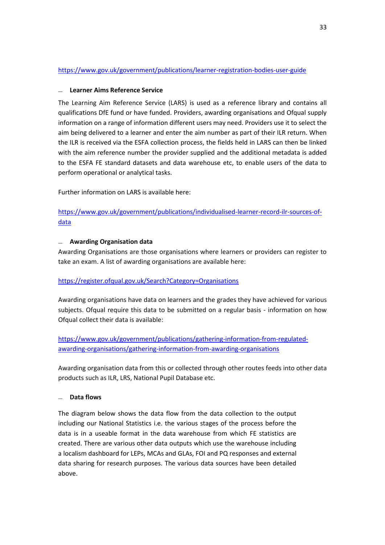<https://www.gov.uk/government/publications/learner-registration-bodies-user-guide>

## ̶ **Learner Aims Reference Service**

The Learning Aim Reference Service (LARS) is used as a reference library and contains all qualifications DfE fund or have funded. Providers, awarding organisations and Ofqual supply information on a range of information different users may need. Providers use it to select the aim being delivered to a learner and enter the aim number as part of their ILR return. When the ILR is received via the ESFA collection process, the fields held in LARS can then be linked with the aim reference number the provider supplied and the additional metadata is added to the ESFA FE standard datasets and data warehouse etc, to enable users of the data to perform operational or analytical tasks.

Further information on LARS is available here:

[https://www.gov.uk/government/publications/individualised-learner-record-ilr-sources-of](https://www.gov.uk/government/publications/individualised-learner-record-ilr-sources-of-data)[data](https://www.gov.uk/government/publications/individualised-learner-record-ilr-sources-of-data)

# ̶ **Awarding Organisation data**

Awarding Organisations are those organisations where learners or providers can register to take an exam. A list of awarding organisations are available here:

# <https://register.ofqual.gov.uk/Search?Category=Organisations>

Awarding organisations have data on learners and the grades they have achieved for various subjects. Ofqual require this data to be submitted on a regular basis - information on how Ofqual collect their data is available:

[https://www.gov.uk/government/publications/gathering-information-from-regulated](https://www.gov.uk/government/publications/gathering-information-from-regulated-awarding-organisations/gathering-information-from-awarding-organisations)[awarding-organisations/gathering-information-from-awarding-organisations](https://www.gov.uk/government/publications/gathering-information-from-regulated-awarding-organisations/gathering-information-from-awarding-organisations)

Awarding organisation data from this or collected through other routes feeds into other data products such as ILR, LRS, National Pupil Database etc.

# ̶ **Data flows**

The diagram below shows the data flow from the data collection to the output including our National Statistics i.e. the various stages of the process before the data is in a useable format in the data warehouse from which FE statistics are created. There are various other data outputs which use the warehouse including a localism dashboard for LEPs, MCAs and GLAs, FOI and PQ responses and external data sharing for research purposes. The various data sources have been detailed above.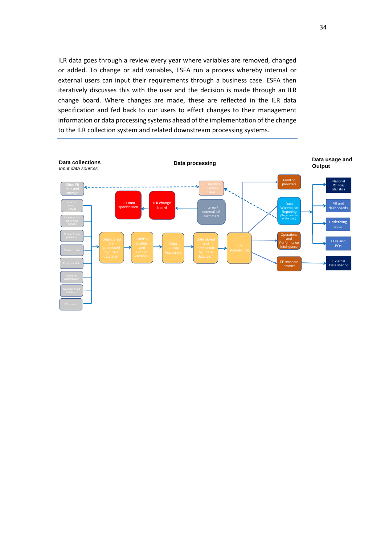ILR data goes through a review every year where variables are removed, changed or added. To change or add variables, ESFA run a process whereby internal or external users can input their requirements through a business case. ESFA then iteratively discusses this with the user and the decision is made through an ILR change board. Where changes are made, these are reflected in the ILR data specification and fed back to our users to effect changes to their management information or data processing systems ahead of the implementation of the change to the ILR collection system and related downstream processing systems.

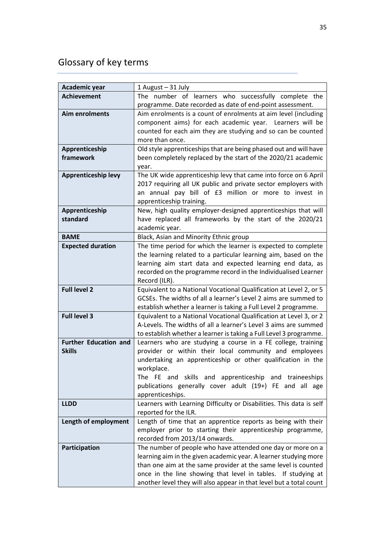# <span id="page-34-0"></span>Glossary of key terms

| Academic year                | 1 August - 31 July                                                   |
|------------------------------|----------------------------------------------------------------------|
| <b>Achievement</b>           | The number of learners who successfully complete the                 |
|                              | programme. Date recorded as date of end-point assessment.            |
| <b>Aim enrolments</b>        | Aim enrolments is a count of enrolments at aim level (including      |
|                              | component aims) for each academic year. Learners will be             |
|                              | counted for each aim they are studying and so can be counted         |
|                              | more than once.                                                      |
| Apprenticeship               | Old style apprenticeships that are being phased out and will have    |
| framework                    | been completely replaced by the start of the 2020/21 academic        |
|                              | year.                                                                |
| <b>Apprenticeship levy</b>   | The UK wide apprenticeship levy that came into force on 6 April      |
|                              | 2017 requiring all UK public and private sector employers with       |
|                              | an annual pay bill of £3 million or more to invest in                |
|                              | apprenticeship training.                                             |
| Apprenticeship               | New, high quality employer-designed apprenticeships that will        |
| standard                     | have replaced all frameworks by the start of the 2020/21             |
|                              | academic year.                                                       |
| <b>BAME</b>                  | Black, Asian and Minority Ethnic group                               |
| <b>Expected duration</b>     | The time period for which the learner is expected to complete        |
|                              | the learning related to a particular learning aim, based on the      |
|                              | learning aim start data and expected learning end data, as           |
|                              | recorded on the programme record in the Individualised Learner       |
|                              | Record (ILR).                                                        |
| <b>Full level 2</b>          | Equivalent to a National Vocational Qualification at Level 2, or 5   |
|                              | GCSEs. The widths of all a learner's Level 2 aims are summed to      |
|                              | establish whether a learner is taking a Full Level 2 programme.      |
| <b>Full level 3</b>          | Equivalent to a National Vocational Qualification at Level 3, or 2   |
|                              | A-Levels. The widths of all a learner's Level 3 aims are summed      |
|                              | to establish whether a learner is taking a Full Level 3 programme.   |
| <b>Further Education and</b> | Learners who are studying a course in a FE college, training         |
| <b>Skills</b>                | provider or within their local community and employees               |
|                              | undertaking an apprenticeship or other qualification in the          |
|                              | workplace.                                                           |
|                              | The FE and skills and apprenticeship and traineeships                |
|                              | publications generally cover adult (19+) FE and all age              |
|                              | apprenticeships.                                                     |
| <b>LLDD</b>                  | Learners with Learning Difficulty or Disabilities. This data is self |
|                              | reported for the ILR.                                                |
| Length of employment         | Length of time that an apprentice reports as being with their        |
|                              | employer prior to starting their apprenticeship programme,           |
|                              | recorded from 2013/14 onwards.                                       |
| Participation                | The number of people who have attended one day or more on a          |
|                              | learning aim in the given academic year. A learner studying more     |
|                              | than one aim at the same provider at the same level is counted       |
|                              | once in the line showing that level in tables. If studying at        |
|                              | another level they will also appear in that level but a total count  |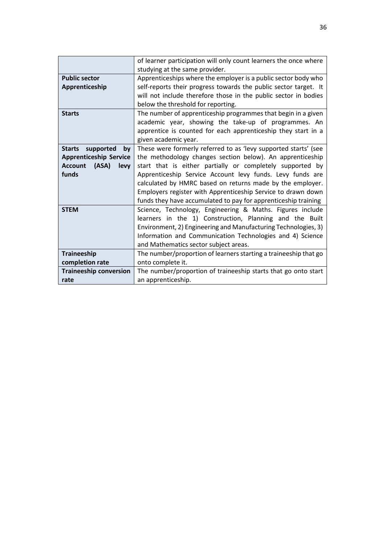|                                  | of learner participation will only count learners the once where |  |  |
|----------------------------------|------------------------------------------------------------------|--|--|
|                                  | studying at the same provider.                                   |  |  |
| <b>Public sector</b>             | Apprenticeships where the employer is a public sector body who   |  |  |
| Apprenticeship                   | self-reports their progress towards the public sector target. It |  |  |
|                                  | will not include therefore those in the public sector in bodies  |  |  |
|                                  | below the threshold for reporting.                               |  |  |
| <b>Starts</b>                    | The number of apprenticeship programmes that begin in a given    |  |  |
|                                  | academic year, showing the take-up of programmes. An             |  |  |
|                                  | apprentice is counted for each apprenticeship they start in a    |  |  |
|                                  | given academic year.                                             |  |  |
| <b>Starts</b><br>supported<br>by | These were formerly referred to as 'levy supported starts' (see  |  |  |
| <b>Apprenticeship Service</b>    | the methodology changes section below). An apprenticeship        |  |  |
| (ASA)<br><b>Account</b><br>levy  | start that is either partially or completely supported by        |  |  |
| funds                            | Apprenticeship Service Account levy funds. Levy funds are        |  |  |
|                                  | calculated by HMRC based on returns made by the employer.        |  |  |
|                                  | Employers register with Apprenticeship Service to drawn down     |  |  |
|                                  | funds they have accumulated to pay for apprenticeship training   |  |  |
| <b>STEM</b>                      | Science, Technology, Engineering & Maths. Figures include        |  |  |
|                                  | learners in the 1) Construction, Planning and the Built          |  |  |
|                                  | Environment, 2) Engineering and Manufacturing Technologies, 3)   |  |  |
|                                  | Information and Communication Technologies and 4) Science        |  |  |
|                                  | and Mathematics sector subject areas.                            |  |  |
| <b>Traineeship</b>               | The number/proportion of learners starting a traineeship that go |  |  |
| completion rate                  | onto complete it.                                                |  |  |
| <b>Traineeship conversion</b>    | The number/proportion of traineeship starts that go onto start   |  |  |
| rate                             | an apprenticeship.                                               |  |  |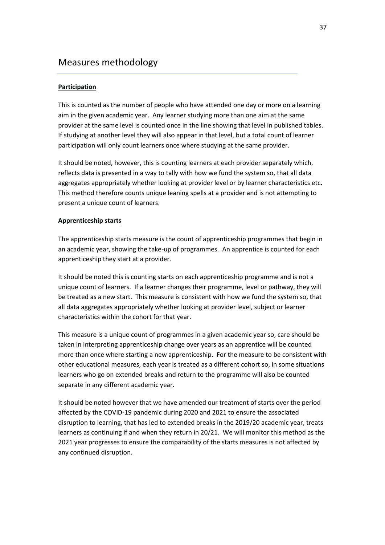# <span id="page-36-0"></span>Measures methodology

## **Participation**

This is counted as the number of people who have attended one day or more on a learning aim in the given academic year. Any learner studying more than one aim at the same provider at the same level is counted once in the line showing that level in published tables. If studying at another level they will also appear in that level, but a total count of learner participation will only count learners once where studying at the same provider.

It should be noted, however, this is counting learners at each provider separately which, reflects data is presented in a way to tally with how we fund the system so, that all data aggregates appropriately whether looking at provider level or by learner characteristics etc. This method therefore counts unique leaning spells at a provider and is not attempting to present a unique count of learners.

#### **Apprenticeship starts**

The apprenticeship starts measure is the count of apprenticeship programmes that begin in an academic year, showing the take-up of programmes. An apprentice is counted for each apprenticeship they start at a provider.

It should be noted this is counting starts on each apprenticeship programme and is not a unique count of learners. If a learner changes their programme, level or pathway, they will be treated as a new start. This measure is consistent with how we fund the system so, that all data aggregates appropriately whether looking at provider level, subject or learner characteristics within the cohort for that year.

This measure is a unique count of programmes in a given academic year so, care should be taken in interpreting apprenticeship change over years as an apprentice will be counted more than once where starting a new apprenticeship. For the measure to be consistent with other educational measures, each year is treated as a different cohort so, in some situations learners who go on extended breaks and return to the programme will also be counted separate in any different academic year.

It should be noted however that we have amended our treatment of starts over the period affected by the COVID-19 pandemic during 2020 and 2021 to ensure the associated disruption to learning, that has led to extended breaks in the 2019/20 academic year, treats learners as continuing if and when they return in 20/21. We will monitor this method as the 2021 year progresses to ensure the comparability of the starts measures is not affected by any continued disruption.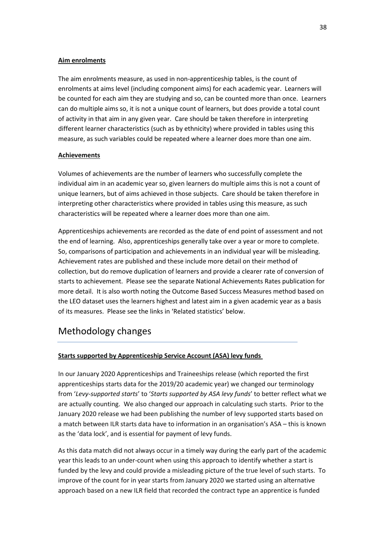#### **Aim enrolments**

The aim enrolments measure, as used in non-apprenticeship tables, is the count of enrolments at aims level (including component aims) for each academic year. Learners will be counted for each aim they are studying and so, can be counted more than once. Learners can do multiple aims so, it is not a unique count of learners, but does provide a total count of activity in that aim in any given year. Care should be taken therefore in interpreting different learner characteristics (such as by ethnicity) where provided in tables using this measure, as such variables could be repeated where a learner does more than one aim.

## **Achievements**

Volumes of achievements are the number of learners who successfully complete the individual aim in an academic year so, given learners do multiple aims this is not a count of unique learners, but of aims achieved in those subjects. Care should be taken therefore in interpreting other characteristics where provided in tables using this measure, as such characteristics will be repeated where a learner does more than one aim.

Apprenticeships achievements are recorded as the date of end point of assessment and not the end of learning. Also, apprenticeships generally take over a year or more to complete. So, comparisons of participation and achievements in an individual year will be misleading. Achievement rates are published and these include more detail on their method of collection, but do remove duplication of learners and provide a clearer rate of conversion of starts to achievement. Please see the separate National Achievements Rates publication for more detail. It is also worth noting the Outcome Based Success Measures method based on the LEO dataset uses the learners highest and latest aim in a given academic year as a basis of its measures. Please see the links in 'Related statistics' below.

# <span id="page-37-0"></span>Methodology changes

## **Starts supported by Apprenticeship Service Account (ASA) levy funds**

In our January 2020 Apprenticeships and Traineeships release (which reported the first apprenticeships starts data for the 2019/20 academic year) we changed our terminology from '*Levy-supported starts*' to '*Starts supported by ASA levy funds*' to better reflect what we are actually counting. We also changed our approach in calculating such starts. Prior to the January 2020 release we had been publishing the number of levy supported starts based on a match between ILR starts data have to information in an organisation's ASA – this is known as the 'data lock', and is essential for payment of levy funds.

As this data match did not always occur in a timely way during the early part of the academic year this leads to an under-count when using this approach to identify whether a start is funded by the levy and could provide a misleading picture of the true level of such starts. To improve of the count for in year starts from January 2020 we started using an alternative approach based on a new ILR field that recorded the contract type an apprentice is funded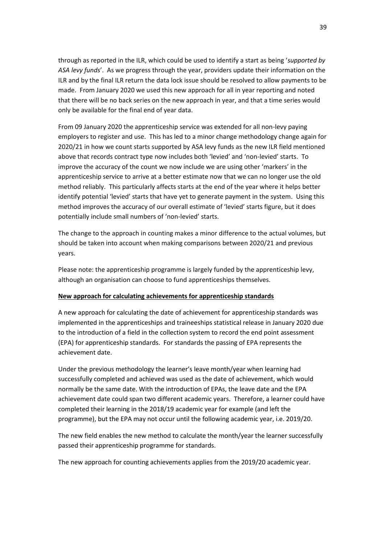through as reported in the ILR, which could be used to identify a start as being '*supported by ASA levy funds*'. As we progress through the year, providers update their information on the ILR and by the final ILR return the data lock issue should be resolved to allow payments to be made. From January 2020 we used this new approach for all in year reporting and noted that there will be no back series on the new approach in year, and that a time series would only be available for the final end of year data.

From 09 January 2020 the apprenticeship service was extended for all non-levy paying employers to register and use. This has led to a minor change methodology change again for 2020/21 in how we count starts supported by ASA levy funds as the new ILR field mentioned above that records contract type now includes both 'levied' and 'non-levied' starts. To improve the accuracy of the count we now include we are using other 'markers' in the apprenticeship service to arrive at a better estimate now that we can no longer use the old method reliably. This particularly affects starts at the end of the year where it helps better identify potential 'levied' starts that have yet to generate payment in the system. Using this method improves the accuracy of our overall estimate of 'levied' starts figure, but it does potentially include small numbers of 'non-levied' starts.

The change to the approach in counting makes a minor difference to the actual volumes, but should be taken into account when making comparisons between 2020/21 and previous years.

Please note: the apprenticeship programme is largely funded by the apprenticeship levy, although an organisation can choose to fund apprenticeships themselves.

#### **New approach for calculating achievements for apprenticeship standards**

A new approach for calculating the date of achievement for apprenticeship standards was implemented in the apprenticeships and traineeships statistical release in January 2020 due to the introduction of a field in the collection system to record the end point assessment (EPA) for apprenticeship standards. For standards the passing of EPA represents the achievement date.

Under the previous methodology the learner's leave month/year when learning had successfully completed and achieved was used as the date of achievement, which would normally be the same date. With the introduction of EPAs, the leave date and the EPA achievement date could span two different academic years. Therefore, a learner could have completed their learning in the 2018/19 academic year for example (and left the programme), but the EPA may not occur until the following academic year, i.e. 2019/20.

The new field enables the new method to calculate the month/year the learner successfully passed their apprenticeship programme for standards.

The new approach for counting achievements applies from the 2019/20 academic year.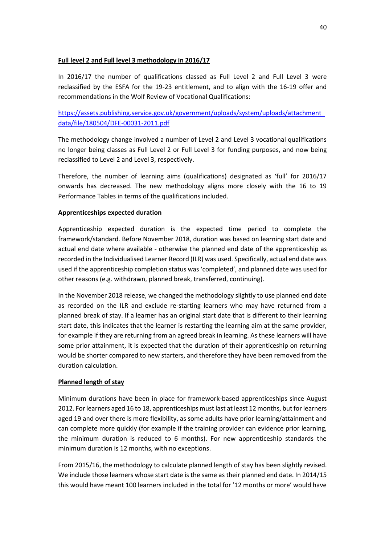## **Full level 2 and Full level 3 methodology in 2016/17**

In 2016/17 the number of qualifications classed as Full Level 2 and Full Level 3 were reclassified by the ESFA for the 19-23 entitlement, and to align with the 16-19 offer and recommendations in the Wolf Review of Vocational Qualifications:

[https://assets.publishing.service.gov.uk/government/uploads/system/uploads/attachment\\_](https://assets.publishing.service.gov.uk/government/uploads/system/uploads/attachment_data/file/180504/DFE-00031-2011.pdf) [data/file/180504/DFE-00031-2011.pdf](https://assets.publishing.service.gov.uk/government/uploads/system/uploads/attachment_data/file/180504/DFE-00031-2011.pdf)

The methodology change involved a number of Level 2 and Level 3 vocational qualifications no longer being classes as Full Level 2 or Full Level 3 for funding purposes, and now being reclassified to Level 2 and Level 3, respectively.

Therefore, the number of learning aims (qualifications) designated as 'full' for 2016/17 onwards has decreased. The new methodology aligns more closely with the 16 to 19 Performance Tables in terms of the qualifications included.

## **Apprenticeships expected duration**

Apprenticeship expected duration is the expected time period to complete the framework/standard. Before November 2018, duration was based on learning start date and actual end date where available - otherwise the planned end date of the apprenticeship as recorded in the Individualised Learner Record (ILR) was used. Specifically, actual end date was used if the apprenticeship completion status was 'completed', and planned date was used for other reasons (e.g. withdrawn, planned break, transferred, continuing).

In the November 2018 release, we changed the methodology slightly to use planned end date as recorded on the ILR and exclude re-starting learners who may have returned from a planned break of stay. If a learner has an original start date that is different to their learning start date, this indicates that the learner is restarting the learning aim at the same provider, for example if they are returning from an agreed break in learning. As these learners will have some prior attainment, it is expected that the duration of their apprenticeship on returning would be shorter compared to new starters, and therefore they have been removed from the duration calculation.

## **Planned length of stay**

Minimum durations have been in place for framework-based apprenticeships since August 2012. For learners aged 16 to 18, apprenticeships must last at least 12 months, but for learners aged 19 and over there is more flexibility, as some adults have prior learning/attainment and can complete more quickly (for example if the training provider can evidence prior learning, the minimum duration is reduced to 6 months). For new apprenticeship standards the minimum duration is 12 months, with no exceptions.

From 2015/16, the methodology to calculate planned length of stay has been slightly revised. We include those learners whose start date is the same as their planned end date. In 2014/15 this would have meant 100 learners included in the total for '12 months or more' would have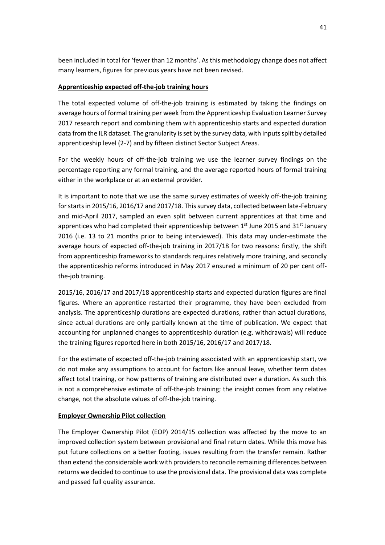been included in total for 'fewer than 12 months'. As this methodology change does not affect many learners, figures for previous years have not been revised.

## **Apprenticeship expected off-the-job training hours**

The total expected volume of off-the-job training is estimated by taking the findings on average hours of formal training per week from the Apprenticeship Evaluation Learner Survey 2017 research report and combining them with apprenticeship starts and expected duration data from the ILR dataset. The granularity is set by the survey data, with inputs split by detailed apprenticeship level (2-7) and by fifteen distinct Sector Subject Areas.

For the weekly hours of off-the-job training we use the learner survey findings on the percentage reporting any formal training, and the average reported hours of formal training either in the workplace or at an external provider.

It is important to note that we use the same survey estimates of weekly off-the-job training for starts in 2015/16, 2016/17 and 2017/18. This survey data, collected between late-February and mid-April 2017, sampled an even split between current apprentices at that time and apprentices who had completed their apprenticeship between  $1<sup>st</sup>$  June 2015 and 31<sup>st</sup> January 2016 (i.e. 13 to 21 months prior to being interviewed). This data may under-estimate the average hours of expected off-the-job training in 2017/18 for two reasons: firstly, the shift from apprenticeship frameworks to standards requires relatively more training, and secondly the apprenticeship reforms introduced in May 2017 ensured a minimum of 20 per cent offthe-job training.

2015/16, 2016/17 and 2017/18 apprenticeship starts and expected duration figures are final figures. Where an apprentice restarted their programme, they have been excluded from analysis. The apprenticeship durations are expected durations, rather than actual durations, since actual durations are only partially known at the time of publication. We expect that accounting for unplanned changes to apprenticeship duration (e.g. withdrawals) will reduce the training figures reported here in both 2015/16, 2016/17 and 2017/18.

For the estimate of expected off-the-job training associated with an apprenticeship start, we do not make any assumptions to account for factors like annual leave, whether term dates affect total training, or how patterns of training are distributed over a duration. As such this is not a comprehensive estimate of off-the-job training; the insight comes from any relative change, not the absolute values of off-the-job training.

## **Employer Ownership Pilot collection**

The Employer Ownership Pilot (EOP) 2014/15 collection was affected by the move to an improved collection system between provisional and final return dates. While this move has put future collections on a better footing, issues resulting from the transfer remain. Rather than extend the considerable work with providers to reconcile remaining differences between returns we decided to continue to use the provisional data. The provisional data was complete and passed full quality assurance.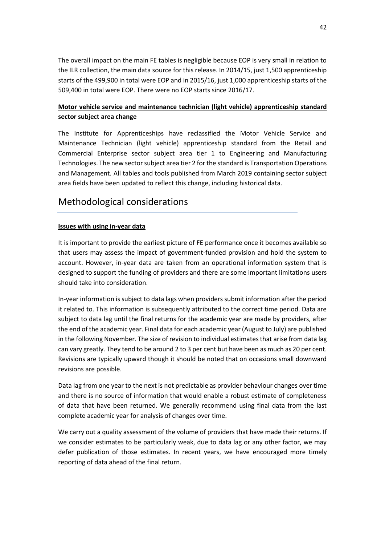The overall impact on the main FE tables is negligible because EOP is very small in relation to the ILR collection, the main data source for this release. In 2014/15, just 1,500 apprenticeship starts of the 499,900 in total were EOP and in 2015/16, just 1,000 apprenticeship starts of the 509,400 in total were EOP. There were no EOP starts since 2016/17.

# **Motor vehicle service and maintenance technician (light vehicle) apprenticeship standard sector subject area change**

The Institute for Apprenticeships have reclassified the Motor Vehicle Service and Maintenance Technician (light vehicle) apprenticeship standard from the Retail and Commercial Enterprise sector subject area tier 1 to Engineering and Manufacturing Technologies. The new sector subject area tier 2 for the standard is Transportation Operations and Management. All tables and tools published from March 2019 containing sector subject area fields have been updated to reflect this change, including historical data.

# <span id="page-41-0"></span>Methodological considerations

# **Issues with using in-year data**

It is important to provide the earliest picture of FE performance once it becomes available so that users may assess the impact of government-funded provision and hold the system to account. However, in-year data are taken from an operational information system that is designed to support the funding of providers and there are some important limitations users should take into consideration.

In-year information is subject to data lags when providers submit information after the period it related to. This information is subsequently attributed to the correct time period. Data are subject to data lag until the final returns for the academic year are made by providers, after the end of the academic year. Final data for each academic year (August to July) are published in the following November. The size of revision to individual estimates that arise from data lag can vary greatly. They tend to be around 2 to 3 per cent but have been as much as 20 per cent. Revisions are typically upward though it should be noted that on occasions small downward revisions are possible.

Data lag from one year to the next is not predictable as provider behaviour changes over time and there is no source of information that would enable a robust estimate of completeness of data that have been returned. We generally recommend using final data from the last complete academic year for analysis of changes over time.

We carry out a quality assessment of the volume of providers that have made their returns. If we consider estimates to be particularly weak, due to data lag or any other factor, we may defer publication of those estimates. In recent years, we have encouraged more timely reporting of data ahead of the final return.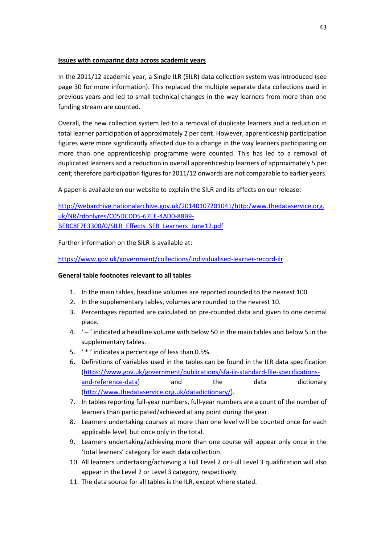## **Issues with comparing data across academic years**

In the 2011/12 academic year, a Single ILR (SILR) data collection system was introduced (see page 30 for more information). This replaced the multiple separate data collections used in previous years and led to small technical changes in the way learners from more than one funding stream are counted.

Overall, the new collection system led to a removal of duplicate learners and a reduction in total learner participation of approximately 2 per cent. However, apprenticeship participation figures were more significantly affected due to a change in the way learners participating on more than one apprenticeship programme were counted. This has led to a removal of duplicated learners and a reduction in overall apprenticeship learners of approximately 5 per cent; therefore participation figures for 2011/12 onwards are not comparable to earlier years.

A paper is available on our website to explain the SILR and its effects on our release:

[http://webarchive.nationalarchive.gov.uk/20140107201041/http:/www.thedataservice.org.](http://webarchive.nationalarchive.gov.uk/20140107201041/http:/www.thedataservice.org.uk/NR/rdonlyres/C05DCDD5-67EE-4AD0-88B9-BEBC8F7F3300/0/SILR_Effects_SFR_Learners_June12.pdf) [uk/NR/rdonlyres/C05DCDD5-67EE-4AD0-88B9-](http://webarchive.nationalarchive.gov.uk/20140107201041/http:/www.thedataservice.org.uk/NR/rdonlyres/C05DCDD5-67EE-4AD0-88B9-BEBC8F7F3300/0/SILR_Effects_SFR_Learners_June12.pdf) [BEBC8F7F3300/0/SILR\\_Effects\\_SFR\\_Learners\\_June12.pdf](http://webarchive.nationalarchive.gov.uk/20140107201041/http:/www.thedataservice.org.uk/NR/rdonlyres/C05DCDD5-67EE-4AD0-88B9-BEBC8F7F3300/0/SILR_Effects_SFR_Learners_June12.pdf)

Further information on the SILR is available at:

<https://www.gov.uk/government/collections/individualised-learner-record-ilr>

# **General table footnotes relevant to all tables**

- 1. In the main tables, headline volumes are reported rounded to the nearest 100.
- 2. In the supplementary tables, volumes are rounded to the nearest 10.
- 3. Percentages reported are calculated on pre-rounded data and given to one decimal place.
- 4. ' ' indicated a headline volume with below 50 in the main tables and below 5 in the supplementary tables.
- 5. ' \* ' indicates a percentage of less than 0.5%.
- 6. Definitions of variables used in the tables can be found in the ILR data specification [\(https://www.gov.uk/government/publications/sfa-ilr-standard-file-specifications](https://www.gov.uk/government/publications/sfa-ilr-standard-file-specifications-and-reference-data)[and-reference-data\)](https://www.gov.uk/government/publications/sfa-ilr-standard-file-specifications-and-reference-data) and the data dictionary [\(http://www.thedataservice.org.uk/datadictionary/\)](http://www.thedataservice.org.uk/datadictionary/).
- 7. In tables reporting full-year numbers, full-year numbers are a count of the number of learners than participated/achieved at any point during the year.
- 8. Learners undertaking courses at more than one level will be counted once for each applicable level, but once only in the total.
- 9. Learners undertaking/achieving more than one course will appear only once in the 'total learners' category for each data collection.
- 10. All learners undertaking/achieving a Full Level 2 or Full Level 3 qualification will also appear in the Level 2 or Level 3 category, respectively.
- 11. The data source for all tables is the ILR, except where stated.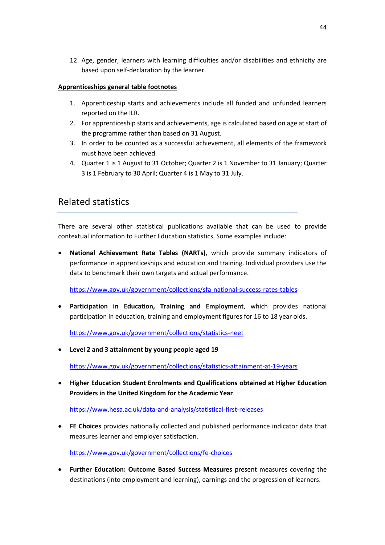12. Age, gender, learners with learning difficulties and/or disabilities and ethnicity are based upon self-declaration by the learner.

## **Apprenticeships general table footnotes**

- 1. Apprenticeship starts and achievements include all funded and unfunded learners reported on the ILR.
- 2. For apprenticeship starts and achievements, age is calculated based on age at start of the programme rather than based on 31 August.
- 3. In order to be counted as a successful achievement, all elements of the framework must have been achieved.
- 4. Quarter 1 is 1 August to 31 October; Quarter 2 is 1 November to 31 January; Quarter 3 is 1 February to 30 April; Quarter 4 is 1 May to 31 July.

# <span id="page-43-0"></span>Related statistics

There are several other statistical publications available that can be used to provide contextual information to Further Education statistics. Some examples include:

• **National Achievement Rate Tables (NARTs)**, which provide summary indicators of performance in apprenticeships and education and training. Individual providers use the data to benchmark their own targets and actual performance.

<https://www.gov.uk/government/collections/sfa-national-success-rates-tables>

• **Participation in Education, Training and Employment**, which provides national participation in education, training and employment figures for 16 to 18 year olds.

<https://www.gov.uk/government/collections/statistics-neet>

• **Level 2 and 3 attainment by young people aged 19**

<https://www.gov.uk/government/collections/statistics-attainment-at-19-years>

• **Higher Education Student Enrolments and Qualifications obtained at Higher Education Providers in the United Kingdom for the Academic Year**

<https://www.hesa.ac.uk/data-and-analysis/statistical-first-releases>

• **FE Choices** provides nationally collected and published performance indicator data that measures learner and employer satisfaction.

<https://www.gov.uk/government/collections/fe-choices>

• **Further Education: Outcome Based Success Measures** present measures covering the destinations (into employment and learning), earnings and the progression of learners.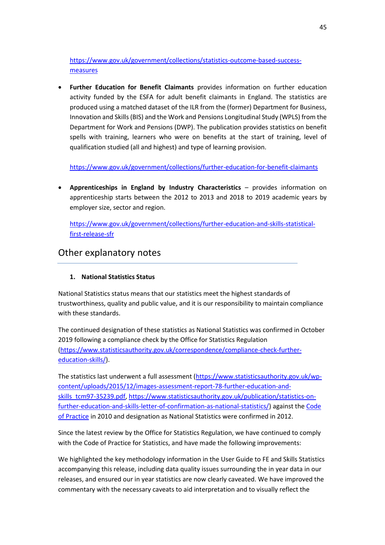[https://www.gov.uk/government/collections/statistics-outcome-based-success](https://www.gov.uk/government/collections/statistics-outcome-based-success-measures)[measures](https://www.gov.uk/government/collections/statistics-outcome-based-success-measures)

• **Further Education for Benefit Claimants** provides information on further education activity funded by the ESFA for adult benefit claimants in England. The statistics are produced using a matched dataset of the ILR from the (former) Department for Business, Innovation and Skills (BIS) and the Work and Pensions Longitudinal Study (WPLS) from the Department for Work and Pensions (DWP). The publication provides statistics on benefit spells with training, learners who were on benefits at the start of training, level of qualification studied (all and highest) and type of learning provision.

<https://www.gov.uk/government/collections/further-education-for-benefit-claimants>

• **Apprenticeships in England by Industry Characteristics** – provides information on apprenticeship starts between the 2012 to 2013 and 2018 to 2019 academic years by employer size, sector and region.

[https://www.gov.uk/government/collections/further-education-and-skills-statistical](https://www.gov.uk/government/collections/further-education-and-skills-statistical-first-release-sfr)[first-release-sfr](https://www.gov.uk/government/collections/further-education-and-skills-statistical-first-release-sfr) 

# <span id="page-44-0"></span>Other explanatory notes

# <span id="page-44-1"></span>**1. National Statistics Status**

National Statistics status means that our statistics meet the highest standards of trustworthiness, quality and public value, and it is our responsibility to maintain compliance with these standards.

The continued designation of these statistics as National Statistics was confirmed in October 2019 following a compliance check by the Office for Statistics Regulation [\(https://www.statisticsauthority.gov.uk/correspondence/compliance-check-further](https://www.statisticsauthority.gov.uk/correspondence/compliance-check-further-education-skills/)[education-skills/\)](https://www.statisticsauthority.gov.uk/correspondence/compliance-check-further-education-skills/).

The statistics last underwent a full assessment [\(https://www.statisticsauthority.gov.uk/wp](https://www.statisticsauthority.gov.uk/wp-content/uploads/2015/12/images-assessment-report-78-further-education-and-skills_tcm97-35239.pdf)[content/uploads/2015/12/images-assessment-report-78-further-education-and](https://www.statisticsauthority.gov.uk/wp-content/uploads/2015/12/images-assessment-report-78-further-education-and-skills_tcm97-35239.pdf)[skills\\_tcm97-35239.pdf,](https://www.statisticsauthority.gov.uk/wp-content/uploads/2015/12/images-assessment-report-78-further-education-and-skills_tcm97-35239.pdf) [https://www.statisticsauthority.gov.uk/publication/statistics-on](https://www.statisticsauthority.gov.uk/publication/statistics-on-further-education-and-skills-letter-of-confirmation-as-national-statistics/)[further-education-and-skills-letter-of-confirmation-as-national-statistics/\)](https://www.statisticsauthority.gov.uk/publication/statistics-on-further-education-and-skills-letter-of-confirmation-as-national-statistics/) against th[e Code](https://www.statisticsauthority.gov.uk/code-of-practice/)  [of Practice](https://www.statisticsauthority.gov.uk/code-of-practice/) in 2010 and designation as National Statistics were confirmed in 2012.

Since the latest review by the Office for Statistics Regulation, we have continued to comply with the Code of Practice for Statistics, and have made the following improvements:

We highlighted the key methodology information in the User Guide to FE and Skills Statistics accompanying this release, including data quality issues surrounding the in year data in our releases, and ensured our in year statistics are now clearly caveated. We have improved the commentary with the necessary caveats to aid interpretation and to visually reflect the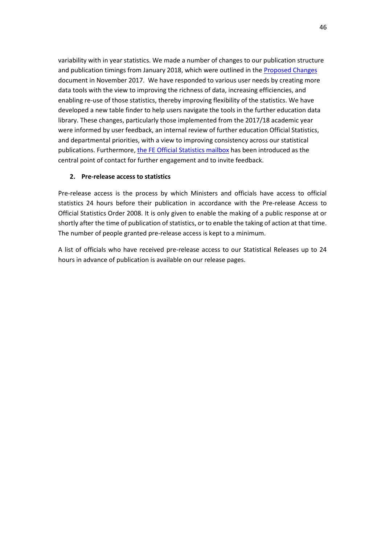variability with in year statistics. We made a number of changes to our publication structure and publication timings from January 2018, which were outlined in the [Proposed Changes](https://assets.publishing.service.gov.uk/government/uploads/system/uploads/attachment_data/file/661130/Annex_further_education_and_skills_changes_November_2017.pdf) document in November 2017. We have responded to various user needs by creating more data tools with the view to improving the richness of data, increasing efficiencies, and enabling re-use of those statistics, thereby improving flexibility of the statistics. We have developed a new table finder to help users navigate the tools in the further education data library. These changes, particularly those implemented from the 2017/18 academic year were informed by user feedback, an internal review of further education Official Statistics, and departmental priorities, with a view to improving consistency across our statistical publications. Furthermore, [the FE Official Statistics mailbox](mailto:FE.OFFICIALSTATISTICS@education.gov.uk) has been introduced as the central point of contact for further engagement and to invite feedback.

## <span id="page-45-0"></span>**2. Pre-release access to statistics**

Pre-release access is the process by which Ministers and officials have access to official statistics 24 hours before their publication in accordance with the Pre-release Access to Official Statistics Order 2008. It is only given to enable the making of a public response at or shortly after the time of publication of statistics, or to enable the taking of action at that time. The number of people granted pre-release access is kept to a minimum.

A list of officials who have received pre-release access to our Statistical Releases up to 24 hours in advance of publication is available on our release pages.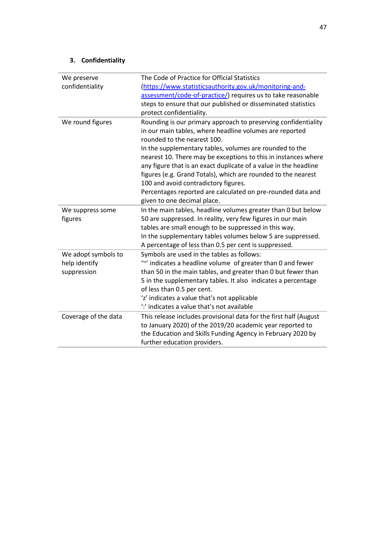# <span id="page-46-0"></span>**3. Confidentiality**

| We preserve<br>confidentiality                      | The Code of Practice for Official Statistics<br>(https://www.statisticsauthority.gov.uk/monitoring-and-<br>assessment/code-of-practice/) requires us to take reasonable<br>steps to ensure that our published or disseminated statistics<br>protect confidentiality.                                                                                                                                                                                                                                                                                             |
|-----------------------------------------------------|------------------------------------------------------------------------------------------------------------------------------------------------------------------------------------------------------------------------------------------------------------------------------------------------------------------------------------------------------------------------------------------------------------------------------------------------------------------------------------------------------------------------------------------------------------------|
| We round figures                                    | Rounding is our primary approach to preserving confidentiality<br>in our main tables, where headline volumes are reported<br>rounded to the nearest 100.<br>In the supplementary tables, volumes are rounded to the<br>nearest 10. There may be exceptions to this in instances where<br>any figure that is an exact duplicate of a value in the headline<br>figures (e.g. Grand Totals), which are rounded to the nearest<br>100 and avoid contradictory figures.<br>Percentages reported are calculated on pre-rounded data and<br>given to one decimal place. |
| We suppress some<br>figures                         | In the main tables, headline volumes greater than 0 but below<br>50 are suppressed. In reality, very few figures in our main<br>tables are small enough to be suppressed in this way.<br>In the supplementary tables volumes below 5 are suppressed.<br>A percentage of less than 0.5 per cent is suppressed.                                                                                                                                                                                                                                                    |
| We adopt symbols to<br>help identify<br>suppression | Symbols are used in the tables as follows:<br>"" indicates a headline volume of greater than 0 and fewer<br>than 50 in the main tables, and greater than 0 but fewer than<br>5 in the supplementary tables. It also indicates a percentage<br>of less than 0.5 per cent.<br>'z' indicates a value that's not applicable<br>":' indicates a value that's not available                                                                                                                                                                                            |
| Coverage of the data                                | This release includes provisional data for the first half (August<br>to January 2020) of the 2019/20 academic year reported to<br>the Education and Skills Funding Agency in February 2020 by<br>further education providers.                                                                                                                                                                                                                                                                                                                                    |